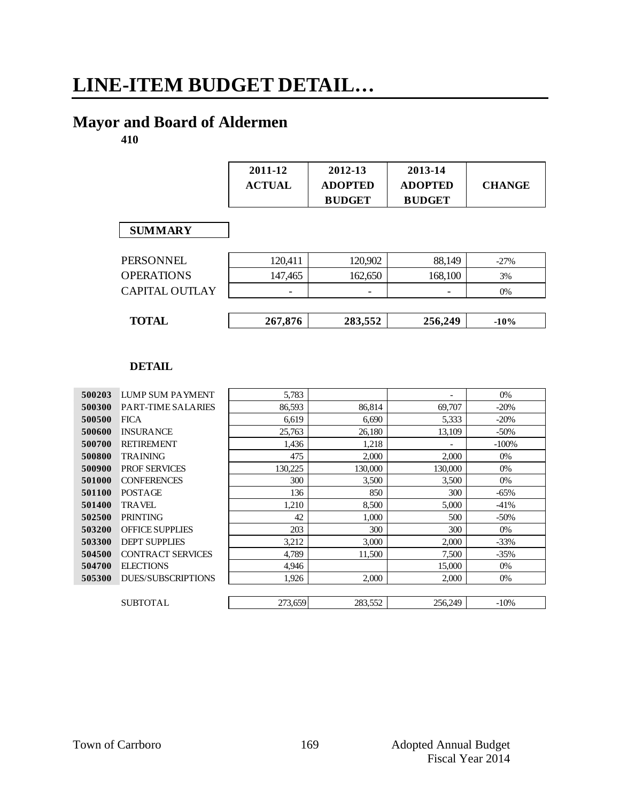# **LINE-ITEM BUDGET DETAIL…**

# **Mayor and Board of Aldermen**

**410**

|                       | 2011-12<br><b>ACTUAL</b> | 2012-13<br><b>ADOPTED</b><br><b>BUDGET</b> | 2013-14<br><b>ADOPTED</b><br><b>BUDGET</b> | <b>CHANGE</b> |
|-----------------------|--------------------------|--------------------------------------------|--------------------------------------------|---------------|
| <b>SUMMARY</b>        |                          |                                            |                                            |               |
| PERSONNEL             | 120,411                  | 120,902                                    | 88,149                                     | $-27%$        |
| <b>OPERATIONS</b>     | 147,465                  | 162,650                                    | 168,100                                    | 3%            |
| <b>CAPITAL OUTLAY</b> |                          |                                            |                                            | 0%            |
| <b>TOTAL</b>          | 267,876                  | 283,552                                    | 256,249                                    | $-10%$        |

| 500203 | LUMP SUM PAYMENT          | 5,783   |         | $\overline{\phantom{0}}$ | $0\%$   |
|--------|---------------------------|---------|---------|--------------------------|---------|
| 500300 | PART-TIME SALARIES        | 86,593  | 86,814  | 69,707                   | $-20%$  |
| 500500 | <b>FICA</b>               | 6,619   | 6,690   | 5,333                    | $-20%$  |
| 500600 | <b>INSURANCE</b>          | 25,763  | 26,180  | 13,109                   | $-50\%$ |
| 500700 | <b>RETIREMENT</b>         | 1,436   | 1,218   |                          | $-100%$ |
| 500800 | <b>TRAINING</b>           | 475     | 2,000   | 2,000                    | $0\%$   |
| 500900 | <b>PROF SERVICES</b>      | 130,225 | 130,000 | 130,000                  | $0\%$   |
| 501000 | <b>CONFERENCES</b>        | 300     | 3,500   | 3,500                    | $0\%$   |
| 501100 | POSTAGE                   | 136     | 850     | 300                      | $-65%$  |
| 501400 | <b>TRAVEL</b>             | 1,210   | 8,500   | 5,000                    | $-41%$  |
| 502500 | <b>PRINTING</b>           | 42      | 1,000   | 500                      | $-50\%$ |
| 503200 | <b>OFFICE SUPPLIES</b>    | 203     | 300     | 300                      | $0\%$   |
| 503300 | <b>DEPT SUPPLIES</b>      | 3,212   | 3,000   | 2,000                    | $-33%$  |
| 504500 | <b>CONTRACT SERVICES</b>  | 4,789   | 11,500  | 7,500                    | $-35%$  |
| 504700 | <b>ELECTIONS</b>          | 4,946   |         | 15,000                   | $0\%$   |
| 505300 | <b>DUES/SUBSCRIPTIONS</b> | 1,926   | 2,000   | 2,000                    | $0\%$   |
|        |                           |         |         |                          |         |
|        | <b>SUBTOTAL</b>           | 273,659 | 283,552 | 256,249                  | $-10%$  |
|        |                           |         |         |                          |         |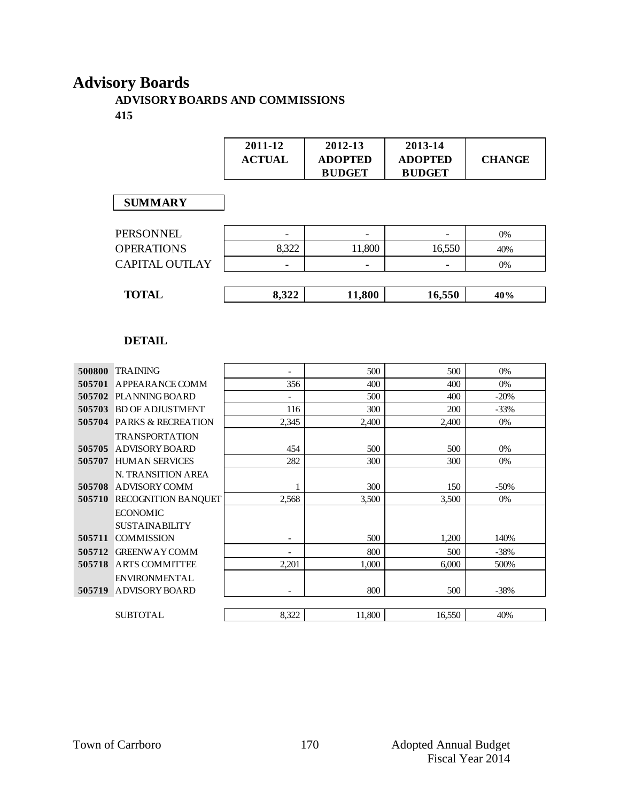# **Advisory Boards**

#### **ADVISORY BOARDS AND COMMISSIONS 415**

|                       | 2011-12<br><b>ACTUAL</b> | 2012-13<br><b>ADOPTED</b><br><b>BUDGET</b> | 2013-14<br><b>ADOPTED</b><br><b>BUDGET</b> | <b>CHANGE</b> |
|-----------------------|--------------------------|--------------------------------------------|--------------------------------------------|---------------|
| <b>SUMMARY</b>        |                          |                                            |                                            |               |
| <b>PERSONNEL</b>      |                          | $\overline{\phantom{a}}$                   |                                            | 0%            |
| <b>OPERATIONS</b>     | 8,322                    | 11,800                                     | 16,550                                     | 40%           |
| <b>CAPITAL OUTLAY</b> | $\overline{\phantom{0}}$ | $\overline{\phantom{a}}$                   | -                                          | 0%            |
|                       |                          |                                            |                                            |               |
| <b>TOTAL</b>          | 8,322                    | 11,800                                     | 16,550                                     | 40%           |

| 500800 | <b>TRAINING</b>                      | $\overline{\phantom{0}}$ | 500    | 500    | 0%     |
|--------|--------------------------------------|--------------------------|--------|--------|--------|
| 505701 | A PPEARANCE COMM                     | 356                      | 400    | 400    | 0%     |
|        | 505702 PLANNING BOARD                | $\overline{\phantom{a}}$ | 500    | 400    | $-20%$ |
| 505703 | <b>BD OF ADJUSTMENT</b>              | 116                      | 300    | 200    | $-33%$ |
|        | <b>505704 PARKS &amp; RECREATION</b> | 2,345                    | 2,400  | 2,400  | $0\%$  |
|        | <b>TRANSPORTATION</b>                |                          |        |        |        |
| 505705 | ADVISORY BOARD                       | 454                      | 500    | 500    | 0%     |
| 505707 | <b>HUMAN SERVICES</b>                | 282                      | 300    | 300    | 0%     |
|        | N. TRANSITION AREA                   |                          |        |        |        |
| 505708 | ADVISORY COMM                        |                          | 300    | 150    | $-50%$ |
| 505710 | <b>RECOGNITION BANQUET</b>           | 2,568                    | 3,500  | 3,500  | 0%     |
|        | <b>ECONOMIC</b>                      |                          |        |        |        |
|        | <b>SUSTAINABILITY</b>                |                          |        |        |        |
| 505711 | <b>COMMISSION</b>                    | $\overline{\phantom{0}}$ | 500    | 1,200  | 140%   |
| 505712 | <b>GREENWAY COMM</b>                 |                          | 800    | 500    | $-38%$ |
| 505718 | ARTS COMMITTEE                       | 2,201                    | 1,000  | 6.000  | 500%   |
|        | <b>ENVIRONMENTAL</b>                 |                          |        |        |        |
| 505719 | ADVISORY BOARD                       | -                        | 800    | 500    | $-38%$ |
|        |                                      |                          |        |        |        |
|        | <b>SUBTOTAL</b>                      | 8,322                    | 11,800 | 16,550 | 40%    |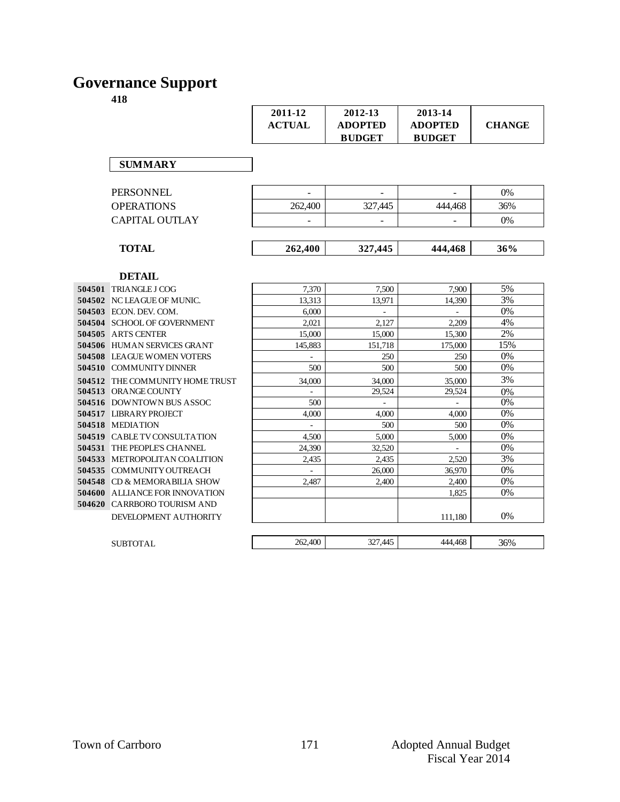# **Governance Support**

|                   | 2011-12<br><b>ACTUAL</b> | 2012-13<br><b>ADOPTED</b><br><b>BUDGET</b> | 2013-14<br><b>ADOPTED</b><br><b>BUDGET</b> | <b>CHANGE</b> |
|-------------------|--------------------------|--------------------------------------------|--------------------------------------------|---------------|
| <b>SUMMARY</b>    |                          |                                            |                                            |               |
| PERSONNEL         |                          | ۰                                          |                                            | 0%            |
| <b>OPERATIONS</b> | 262,400                  | 327,445                                    | 444,468                                    | 36%           |
| CAPITAL OUTLAY    |                          | ۰                                          |                                            | 0%            |
| <b>TOTAL</b>      | 262,400                  | 327,445                                    | 444,468                                    | 36%           |
| <b>DETAIL</b>     |                          |                                            |                                            |               |

| 504501 | TRIANGLE J COG              |
|--------|-----------------------------|
| 504502 | NC LEAGUE OF MUNIC.         |
| 504503 | ECON. DEV. COM.             |
| 504504 | <b>SCHOOL OF GOVERNMENT</b> |
| 504505 | <b>ARTS CENTER</b>          |
| 504506 | HUMAN SERVICES GRANT        |
| 504508 | <b>LEAGUE WOMEN VOTERS</b>  |
| 504510 | COMMUNITY DINNER            |
| 504512 | THE COMMUNITY HOME TRUS'    |
| 504513 | ORANGE COUNTY               |
| 504516 | <b>DOWNTOWN BUS ASSOC</b>   |
| 504517 | LIBRARY PROJECT             |
| 504518 | <b>MEDIATION</b>            |
| 504519 | CABLE TV CONSULTATION       |
| 504531 | THE PEOPLE'S CHANNEL        |
| 504533 | METROPOLITAN COALITION      |
| 504535 | COMMUNITY OUTREACH          |
| 504548 | CD & MEMORA BILIA SHOW      |
| 504600 | ALLIANCE FOR INNOVATION     |
| 504620 | CARRBORO TOURISM AND        |
|        | DEVELOPMENT AUTHORITY       |

|        | 504501 TRIANGLE J COG                 | 7,370   | 7,500                    | 7,900                    | 5%    |
|--------|---------------------------------------|---------|--------------------------|--------------------------|-------|
|        | 504502 NC LEAGUE OF MUNIC.            | 13,313  | 13,971                   | 14.390                   | 3%    |
|        | <b>504503</b> ECON. DEV. COM.         | 6.000   | Ξ.                       |                          | $0\%$ |
|        | <b>504504 SCHOOL OF GOVERNMENT</b>    | 2,021   | 2,127                    | 2,209                    | 4%    |
|        | 504505 ARTS CENTER                    | 15,000  | 15,000                   | 15,300                   | 2%    |
|        | 504506 HUMAN SERVICES GRANT           | 145,883 | 151,718                  | 175,000                  | 15%   |
|        | <b>504508 LEAGUE WOMEN VOTERS</b>     | $\sim$  | 250                      | 250                      | 0%    |
|        | 504510 COMMUNITY DINNER               | 500     | 500                      | 500                      | $0\%$ |
|        | 504512 THE COMMUNITY HOME TRUST       | 34,000  | 34,000                   | 35,000                   | 3%    |
|        | 504513 ORANGE COUNTY                  |         | 29,524                   | 29,524                   | 0%    |
|        | 504516 DOWNTOWN BUS ASSOC             | 500     | $\overline{\phantom{a}}$ | $\overline{\phantom{a}}$ | $0\%$ |
|        | 504517 LIBRARY PROJECT                | 4,000   | 4.000                    | 4,000                    | 0%    |
|        | 504518 MEDIATION                      |         | 500                      | 500                      | $0\%$ |
|        | <b>504519 CABLE TV CONSULTATION</b>   | 4.500   | 5,000                    | 5,000                    | 0%    |
|        | 504531 THE PEOPLE'S CHANNEL           | 24.390  | 32,520                   |                          | 0%    |
|        | 504533 METROPOLITAN COALITION         | 2,435   | 2,435                    | 2,520                    | 3%    |
|        | 504535 COMMUNITY OUTREACH             |         | 26,000                   | 36,970                   | $0\%$ |
| 504548 | CD & MEMORABILIA SHOW                 | 2,487   | 2,400                    | 2,400                    | 0%    |
|        | <b>504600 ALLIANCE FOR INNOVATION</b> |         |                          | 1,825                    | $0\%$ |
|        | 504620 CARRBORO TOURISM AND           |         |                          |                          |       |
|        | DEVELOPMENT AUTHORITY                 |         |                          | 111,180                  | 0%    |
|        |                                       |         |                          |                          |       |
|        | <b>SUBTOTAL</b>                       | 262,400 | 327,445                  | 444,468                  | 36%   |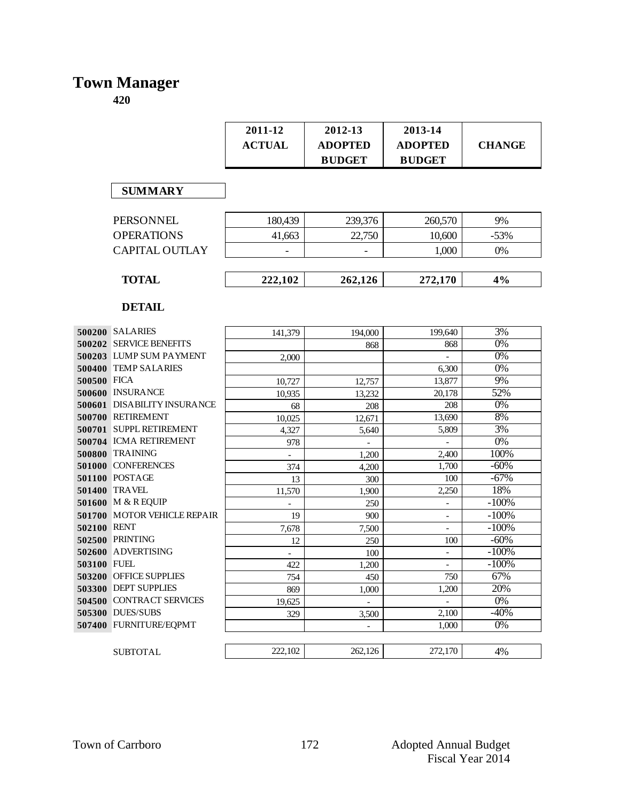# **Town Manager**

|             |                                 | 2011-12<br><b>ACTUAL</b> | 2012-13<br><b>ADOPTED</b><br><b>BUDGET</b> | 2013-14<br><b>ADOPTED</b><br><b>BUDGET</b> | <b>CHANGE</b>    |
|-------------|---------------------------------|--------------------------|--------------------------------------------|--------------------------------------------|------------------|
|             | <b>SUMMARY</b>                  |                          |                                            |                                            |                  |
|             | <b>PERSONNEL</b>                | 180,439                  | 239,376                                    | 260,570                                    | 9%               |
|             | <b>OPERATIONS</b>               | 41,663                   | 22,750                                     | 10,600                                     | $-53%$           |
|             | <b>CAPITAL OUTLAY</b>           |                          |                                            | 1,000                                      | 0%               |
|             | <b>TOTAL</b>                    | 222,102                  | 262,126                                    | 272,170                                    | 4%               |
|             | <b>DETAIL</b>                   |                          |                                            |                                            |                  |
|             | 500200 SALARIES                 | 141,379                  | 194,000                                    | 199,640                                    | 3%               |
|             | 500202 SERVICE BENEFITS         |                          | 868                                        | 868                                        | $0\%$            |
|             | 500203 LUMP SUM PAYMENT         | 2,000                    |                                            |                                            | $0\%$            |
|             | 500400 TEMP SALARIES            |                          |                                            | 6,300                                      | $\overline{0\%}$ |
| 500500 FICA |                                 | 10,727                   | 12,757                                     | 13,877                                     | 9%               |
|             | 500600 INSURANCE                | 10,935                   | 13,232                                     | 20.178                                     | 52%              |
|             | 500601 DISABILITY INSURANCE     | 68                       | 208                                        | 208                                        | 0%               |
|             | 500700 RETIREMENT               | 10,025                   | 12,671                                     | 13,690                                     | 8%               |
|             | 500701 SUPPL RETIREMENT         | 4,327                    | 5,640                                      | 5,809                                      | 3%               |
|             | 500704 ICMA RETIREMENT          | 978                      |                                            |                                            | $0\%$            |
| 500800      | <b>TRAINING</b>                 |                          | 1,200                                      | 2,400                                      | 100%             |
|             | 501000 CONFERENCES              | 374                      | 4,200                                      | 1,700                                      | $-60%$           |
|             | 501100 POSTAGE<br><b>TRAVEL</b> | 13                       | 300                                        | 100                                        | $-67%$<br>18%    |
| 501400      | 501600 M & R EQUIP              | 11,570                   | 1,900                                      | 2,250                                      | $-100%$          |
|             | 501700 MOTOR VEHICLE REPAIR     | 19                       | 250<br>900                                 |                                            | $-100%$          |
| 502100 RENT |                                 | 7,678                    | 7,500                                      | $\overline{\phantom{a}}$                   | $-100%$          |
|             | 502500 PRINTING                 | 12                       | 250                                        | 100                                        | $-60%$           |
| 502600      | <b>ADVERTISING</b>              | $\overline{\phantom{0}}$ | 100                                        | $\overline{\phantom{a}}$                   | $-100%$          |
| 503100 FUEL |                                 | 422                      | 1,200                                      | $\qquad \qquad -$                          | $-100%$          |
|             | 503200 OFFICE SUPPLIES          | 754                      | 450                                        | 750                                        | 67%              |
|             | 503300 DEPT SUPPLIES            | 869                      | 1,000                                      | 1,200                                      | 20%              |
|             | 504500 CONTRACT SERVICES        | 19,625                   | $\overline{\phantom{a}}$                   | $\overline{\phantom{0}}$                   | $0\%$            |
|             | 505300 DUES/SUBS                | 329                      | 3,500                                      | 2,100                                      | $-40%$           |
|             | 507400 FURNITURE/EQPMT          |                          | $\overline{\phantom{a}}$                   | 1,000                                      | $\overline{0\%}$ |
|             | <b>SUBTOTAL</b>                 | 222,102                  | 262,126                                    | 272,170                                    | 4%               |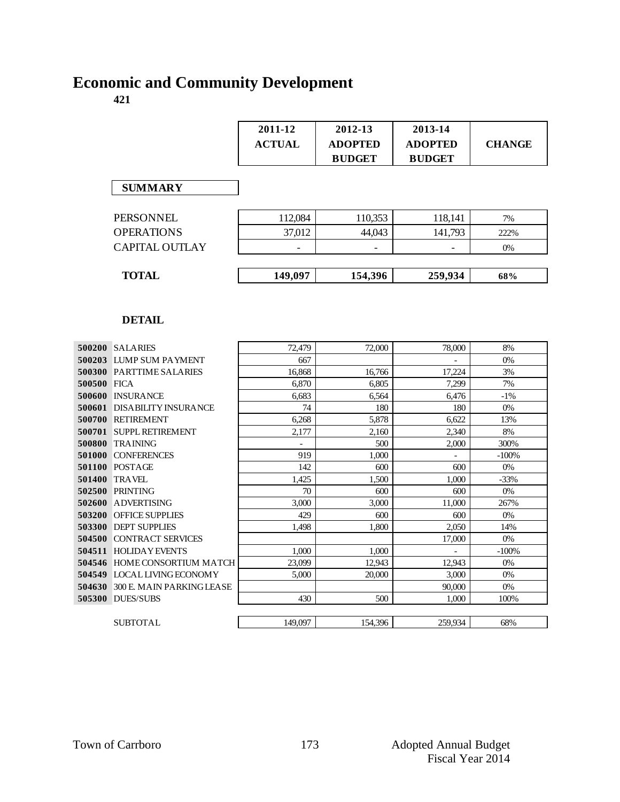# **Economic and Community Development**

|             |                                  | 2011-12<br><b>ACTUAL</b> | 2012-13<br><b>ADOPTED</b><br><b>BUDGET</b> | 2013-14<br><b>ADOPTED</b><br><b>BUDGET</b> | <b>CHANGE</b> |
|-------------|----------------------------------|--------------------------|--------------------------------------------|--------------------------------------------|---------------|
|             | <b>SUMMARY</b>                   |                          |                                            |                                            |               |
|             | <b>PERSONNEL</b>                 | 112,084                  | 110,353                                    | 118,141                                    | 7%            |
|             | <b>OPERATIONS</b>                | 37,012                   | 44.043                                     | 141,793                                    | 222%          |
|             | <b>CAPITAL OUTLAY</b>            |                          |                                            |                                            | 0%            |
|             |                                  |                          |                                            |                                            |               |
|             | <b>TOTAL</b>                     | 149,097                  | 154,396                                    | 259,934                                    | 68%           |
|             | <b>DETAIL</b>                    |                          |                                            |                                            |               |
|             | 500200 SALARIES                  | 72,479                   | 72,000                                     | 78,000                                     | 8%            |
|             | 500203 LUMP SUM PAYMENT          | 667                      |                                            | $\overline{a}$                             | 0%            |
|             | 500300 PARTTIME SALARIES         | 16,868                   | 16,766                                     | 17,224                                     | 3%            |
| 500500 FICA | 500600 INSURANCE                 | 6,870<br>6,683           | 6,805<br>6,564                             | 7,299<br>6,476                             | 7%<br>$-1%$   |
|             | 500601 DISABILITY INSURANCE      | 74                       | 180                                        | 180                                        | 0%            |
|             | 500700 RETIREMENT                | 6,268                    | 5,878                                      | 6,622                                      | 13%           |
|             | 500701 SUPPL RETIREMENT          | 2,177                    | 2,160                                      | 2,340                                      | 8%            |
|             | 500800 TRAINING                  | $\frac{1}{2}$            | 500                                        | 2,000                                      | 300%          |
|             | 501000 CONFERENCES               | 919                      | 1,000                                      |                                            | $-100%$       |
|             | <b>501100 POSTAGE</b>            | 142                      | 600                                        | 600                                        | 0%            |
|             | 501400 TRAVEL                    | 1,425                    | 1,500                                      | 1,000                                      | $-33%$        |
|             | 502500 PRINTING                  | 70                       | 600                                        | 600                                        | 0%            |
|             | 502600 ADVERTISING               | 3,000                    | 3,000                                      | 11,000                                     | 267%          |
|             | 503200 OFFICE SUPPLIES           | 429                      | 600                                        | 600                                        | 0%            |
|             | 503300 DEPT SUPPLIES             | 1.498                    | 1.800                                      | 2,050                                      | 14%           |
|             | <b>504500 CONTRACT SERVICES</b>  |                          |                                            | 17,000                                     | 0%            |
|             | 504511 HOLIDAY EVENTS            | 1,000                    | 1,000                                      |                                            | $-100%$       |
|             | 504546 HOME CONSORTIUM MATCH     | 23,099                   | 12,943                                     | 12,943                                     | 0%            |
|             | 504549 LOCAL LIVING ECONOMY      | 5,000                    | 20,000                                     | 3,000                                      | 0%            |
|             | 504630 300 E. MAIN PARKING LEASE |                          |                                            | 90,000                                     | 0%            |
|             | <b>505300 DUES/SUBS</b>          | 430                      | 500                                        | 1,000                                      | 100%          |
|             | <b>SUBTOTAL</b>                  | 149,097                  | 154,396                                    | 259.934                                    | 68%           |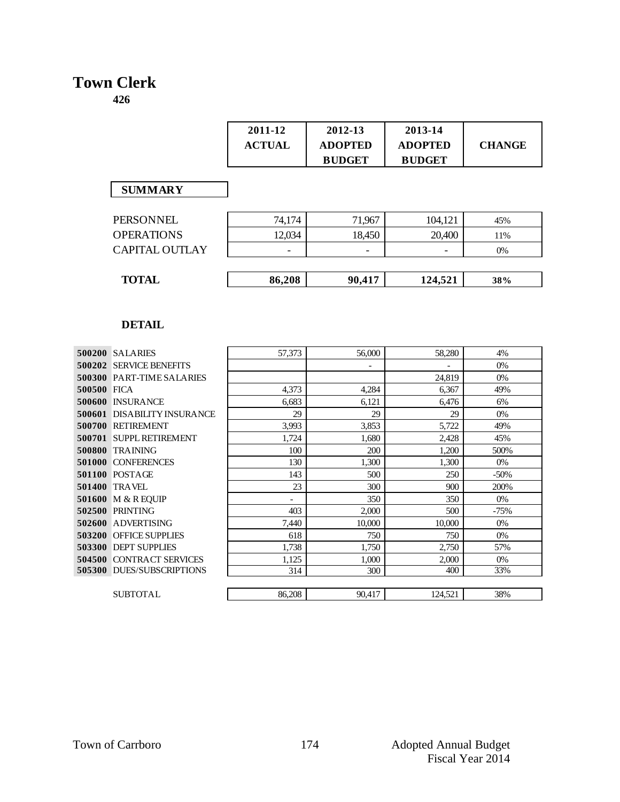# **Town Clerk**

|                   | 2011-12<br><b>ACTUAL</b> | 2012-13<br><b>ADOPTED</b><br><b>BUDGET</b> | 2013-14<br><b>ADOPTED</b><br><b>BUDGET</b> | <b>CHANGE</b> |
|-------------------|--------------------------|--------------------------------------------|--------------------------------------------|---------------|
| <b>SUMMARY</b>    |                          |                                            |                                            |               |
| <b>PERSONNEL</b>  | 74,174                   | 71,967                                     | 104,121                                    | 45%           |
| <b>OPERATIONS</b> | 12,034                   | 18,450                                     | 20,400                                     | 11%           |
| CAPITAL OUTLAY    |                          |                                            |                                            | $0\%$         |
|                   |                          |                                            |                                            |               |
| <b>TOTAL</b>      | 86,208                   | 90,417                                     | 124,521                                    | 38%           |

|             | 500200 SALARIES                    | 57,373 | 56,000 | 58,280  | 4%     |
|-------------|------------------------------------|--------|--------|---------|--------|
|             | <b>500202 SERVICE BENEFITS</b>     |        |        |         | 0%     |
|             | <b>500300 PART-TIME SALARIES</b>   |        |        | 24,819  | $0\%$  |
| 500500 FICA |                                    | 4,373  | 4,284  | 6,367   | 49%    |
|             | 500600 INSURANCE                   | 6,683  | 6,121  | 6,476   | 6%     |
|             | <b>500601 DISABILITY INSURANCE</b> | 29     | 29     | 29      | 0%     |
|             | 500700 RETIREMENT                  | 3,993  | 3,853  | 5,722   | 49%    |
|             | 500701 SUPPL RETIREMENT            | 1,724  | 1,680  | 2,428   | 45%    |
|             | 500800 TRAINING                    | 100    | 200    | 1,200   | 500%   |
|             | 501000 CONFERENCES                 | 130    | 1,300  | 1,300   | $0\%$  |
|             | 501100 POSTAGE                     | 143    | 500    | 250     | $-50%$ |
|             | <b>501400 TRAVEL</b>               | 23     | 300    | 900     | 200%   |
|             | 501600 M & R EQUIP                 |        | 350    | 350     | $0\%$  |
|             | 502500 PRINTING                    | 403    | 2,000  | 500     | $-75%$ |
|             | 502600 ADVERTISING                 | 7,440  | 10,000 | 10,000  | $0\%$  |
|             | <b>503200 OFFICE SUPPLIES</b>      | 618    | 750    | 750     | 0%     |
|             | 503300 DEPT SUPPLIES               | 1,738  | 1,750  | 2,750   | 57%    |
|             | 504500 CONTRACT SERVICES           | 1,125  | 1,000  | 2,000   | 0%     |
|             | <b>505300 DUES/SUBSCRIPTIONS</b>   | 314    | 300    | 400     | 33%    |
|             |                                    |        |        |         |        |
|             | <b>SUBTOTAL</b>                    | 86,208 | 90,417 | 124,521 | 38%    |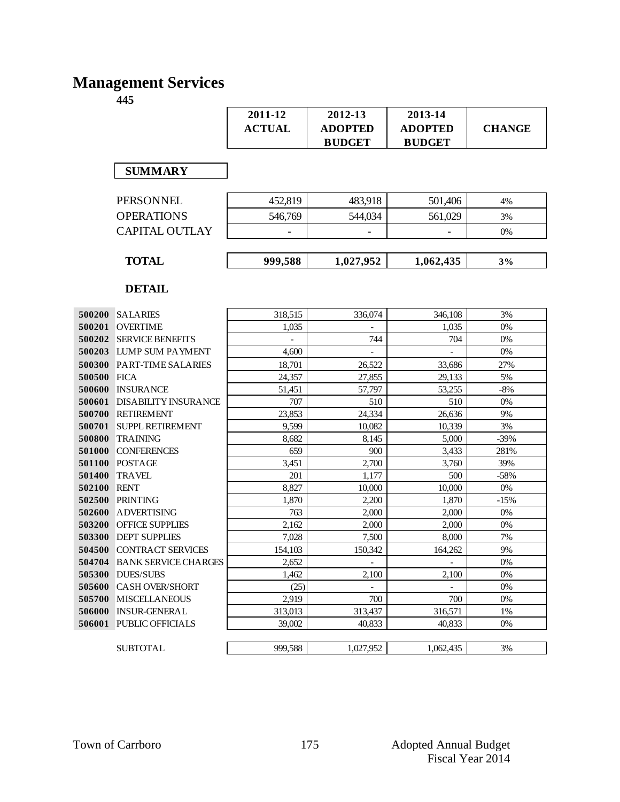# **Management Services**

|                  |                                                | 2011-12<br><b>ACTUAL</b> | 2012-13<br><b>ADOPTED</b><br><b>BUDGET</b> | 2013-14<br><b>ADOPTED</b><br><b>BUDGET</b> | <b>CHANGE</b> |
|------------------|------------------------------------------------|--------------------------|--------------------------------------------|--------------------------------------------|---------------|
|                  | <b>SUMMARY</b>                                 |                          |                                            |                                            |               |
|                  | <b>PERSONNEL</b>                               | 452,819                  | 483,918                                    | 501,406                                    | 4%            |
|                  | <b>OPERATIONS</b>                              | 546,769                  | 544,034                                    | 561,029                                    | 3%            |
|                  | <b>CAPITAL OUTLAY</b>                          |                          |                                            |                                            | 0%            |
|                  | <b>TOTAL</b>                                   | 999,588                  | 1,027,952                                  | 1,062,435                                  | 3%            |
|                  | <b>DETAIL</b>                                  |                          |                                            |                                            |               |
| 500200           | <b>SALARIES</b>                                | 318,515                  | 336,074                                    | 346,108                                    | 3%            |
| 500201           | <b>OVERTIME</b>                                | 1,035                    |                                            | 1,035                                      | 0%            |
| 500202           | <b>SERVICE BENEFITS</b>                        |                          | 744                                        | 704                                        | 0%            |
| 500203           | LUMP SUM PAYMENT                               | 4,600                    |                                            |                                            | 0%            |
| 500300           | PART-TIME SALARIES                             | 18,701                   | 26,522                                     | 33,686                                     | 27%           |
| 500500           | <b>FICA</b>                                    | 24,357                   | 27,855                                     | 29,133                                     | 5%            |
| 500600           | <b>INSURANCE</b>                               | 51,451                   | 57,797                                     | 53,255                                     | $-8%$         |
| 500601           | <b>DISABILITY INSURANCE</b>                    | 707                      | 510                                        | 510                                        | 0%            |
| 500700           | <b>RETIREMENT</b>                              | 23,853                   | 24,334                                     | 26,636                                     | 9%            |
| 500701           | <b>SUPPL RETIREMENT</b>                        | 9,599                    | 10,082                                     | 10,339                                     | 3%            |
| 500800           | <b>TRAINING</b>                                | 8,682                    | 8,145                                      | 5,000                                      | $-39%$        |
| 501000           | <b>CONFERENCES</b>                             | 659                      | 900                                        | 3,433                                      | 281%          |
| 501100           | <b>POSTAGE</b>                                 | 3,451                    | 2,700                                      | 3,760                                      | 39%           |
| 501400           | <b>TRAVEL</b>                                  | 201                      | 1,177                                      | 500                                        | $-58%$        |
| 502100           | <b>RENT</b>                                    | 8,827                    | 10,000                                     | 10,000                                     | 0%            |
| 502500           | <b>PRINTING</b>                                | 1,870                    | 2,200                                      | 1,870                                      | $-15%$        |
| 502600           | <b>ADVERTISING</b>                             | 763                      | 2,000                                      | 2,000                                      | 0%            |
| 503200           | OFFICE SUPPLIES                                | 2,162                    | 2,000                                      | 2,000                                      | 0%            |
| 503300           | <b>DEPT SUPPLIES</b>                           | 7,028                    | 7,500                                      | 8,000                                      | 7%            |
| 504500           | <b>CONTRACT SERVICES</b>                       | 154,103                  | 150,342                                    | 164,262                                    | 9%            |
| 504704           | <b>BANK SERVICE CHARGES</b>                    | 2,652                    | $\blacksquare$                             | $\overline{\phantom{a}}$                   | 0%            |
| 505300           | <b>DUES/SUBS</b>                               | 1,462                    | 2,100                                      | 2,100                                      | 0%            |
| 505600           | <b>CASH OVER/SHORT</b><br><b>MISCELLANEOUS</b> | (25)                     | $\overline{\phantom{a}}$                   | $\overline{\phantom{a}}$                   | 0%            |
| 505700<br>506000 | <b>INSUR-GENERAL</b>                           | 2,919                    | 700<br>313,437                             | 700<br>316,571                             | 0%<br>1%      |
| 506001           | PUBLIC OFFICIALS                               | 313,013<br>39,002        | 40,833                                     | 40,833                                     | 0%            |
|                  | <b>SUBTOTAL</b>                                | 999,588                  | 1,027,952                                  | 1,062,435                                  | 3%            |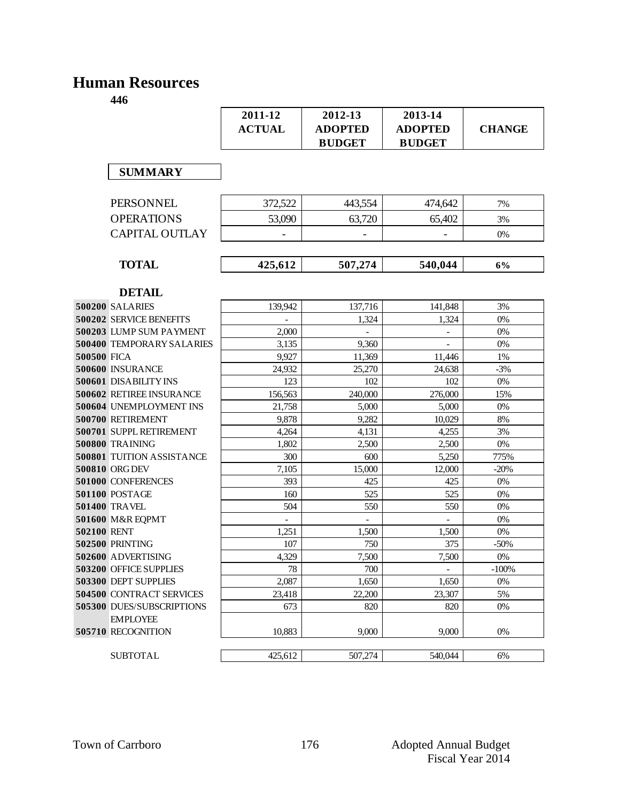### **Human Resources**

|                                       | 2011-12<br><b>ACTUAL</b> | 2012-13<br><b>ADOPTED</b><br><b>BUDGET</b> | 2013-14<br><b>ADOPTED</b><br><b>BUDGET</b> | <b>CHANGE</b> |
|---------------------------------------|--------------------------|--------------------------------------------|--------------------------------------------|---------------|
| <b>SUMMARY</b>                        |                          |                                            |                                            |               |
| <b>PERSONNEL</b>                      | 372,522                  | 443,554                                    | 474,642                                    | 7%            |
| <b>OPERATIONS</b>                     | 53,090                   | 63,720                                     | 65,402                                     | 3%            |
| <b>CAPITAL OUTLAY</b>                 |                          |                                            |                                            | 0%            |
| <b>TOTAL</b>                          | 425,612                  | 507,274                                    | 540,044                                    | 6%            |
|                                       |                          |                                            |                                            |               |
| <b>DETAIL</b>                         |                          |                                            |                                            |               |
| <b>500200 SALARIES</b>                | 139,942                  | 137,716                                    | 141,848                                    | 3%            |
| <b>500202 SERVICE BENEFITS</b>        |                          | 1,324                                      | 1,324                                      | 0%            |
| 500203 LUMP SUM PAYMENT               | 2,000                    |                                            |                                            | 0%            |
| 500400 TEMPORARY SALARIES             | 3,135                    | 9,360                                      |                                            | 0%            |
| 500500 FICA                           | 9,927                    | 11,369                                     | 11,446                                     | 1%            |
| 500600 INSURANCE                      | 24,932                   | 25,270                                     | 24,638                                     | $-3%$         |
| <b>500601 DISABILITY INS</b>          | 123                      | 102                                        | 102                                        | 0%            |
| 500602 RETIREE INSURANCE              | 156,563                  | 240,000                                    | 276,000                                    | 15%           |
| 500604 UNEMPLOYMENT INS               | 21,758                   | 5,000                                      | 5,000                                      | 0%            |
| 500700 RETIREMENT                     | 9,878                    | 9,282                                      | 10,029                                     | 8%            |
| 500701 SUPPL RETIREMENT               | 4,264                    | 4,131                                      | 4,255                                      | 3%            |
| 500800 TRAINING                       | 1,802                    | 2,500                                      | 2,500                                      | 0%            |
| <b>500801 TUITION ASSISTANCE</b>      | 300                      | 600                                        | 5,250                                      | 775%          |
| 500810 ORG DEV                        | 7,105                    | 15,000                                     | 12,000                                     | $-20%$        |
| 501000 CONFERENCES                    | 393                      | 425                                        | 425                                        | 0%            |
| 501100 POSTAGE                        | 160                      | 525                                        | 525                                        | 0%            |
| 501400 TRAVEL                         | 504                      | 550                                        | 550                                        | 0%            |
| 501600 M&R EQPMT                      |                          | $\blacksquare$                             | $\overline{a}$                             | 0%            |
| 502100 RENT                           | 1,251                    | 1,500                                      | 1,500                                      | 0%            |
| 502500 PRINTING                       | 107                      | 750                                        | 375                                        | $-50%$        |
| 502600 ADVERTISING                    | 4,329                    | 7,500                                      | 7,500                                      | 0%            |
| 503200 OFFICE SUPPLIES                | 78                       | 700                                        | $\frac{1}{2}$                              | $-100%$       |
| 503300 DEPT SUPPLIES                  | 2,087                    | 1,650                                      | 1,650                                      | 0%            |
| <b>504500 CONTRACT SERVICES</b>       | 23,418                   | 22,200                                     | 23,307                                     | 5%            |
| 505300 DUES/SUBSCRIPTIONS             | 673                      | 820                                        | 820                                        | 0%            |
| <b>EMPLOYEE</b><br>505710 RECOGNITION | 10.883                   | 9,000                                      | 9,000                                      | 0%            |
| <b>SUBTOTAL</b>                       | 425,612                  | 507,274                                    | 540,044                                    | 6%            |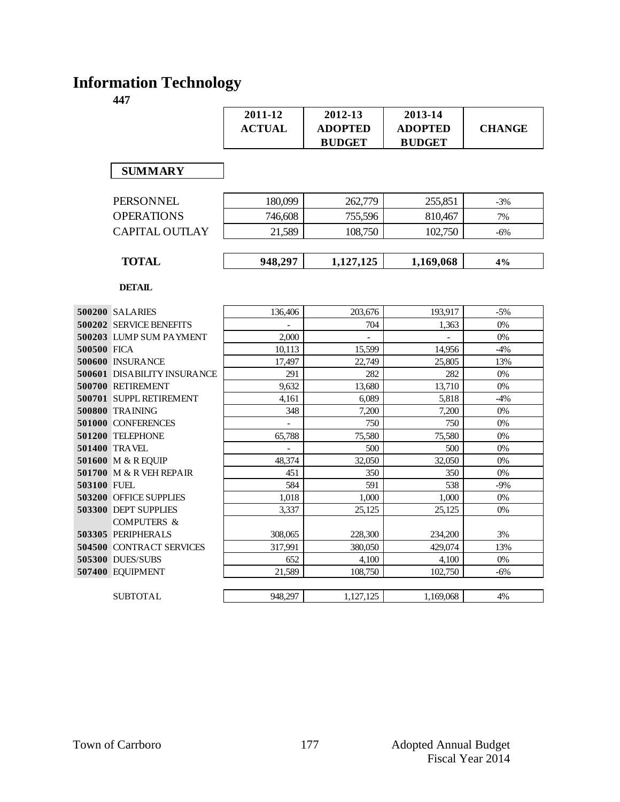# **Information Technology**

|             |                                    | 2011-12       | 2012-13        | 2013-14        |               |
|-------------|------------------------------------|---------------|----------------|----------------|---------------|
|             |                                    | <b>ACTUAL</b> | <b>ADOPTED</b> | <b>ADOPTED</b> | <b>CHANGE</b> |
|             |                                    |               | <b>BUDGET</b>  | <b>BUDGET</b>  |               |
|             |                                    |               |                |                |               |
|             | <b>SUMMARY</b>                     |               |                |                |               |
|             |                                    |               |                |                |               |
|             | <b>PERSONNEL</b>                   | 180,099       | 262,779        | 255,851        | $-3%$         |
|             | <b>OPERATIONS</b>                  | 746,608       | 755,596        | 810,467        | 7%            |
|             | <b>CAPITAL OUTLAY</b>              | 21,589        | 108,750        | 102,750        | $-6%$         |
|             |                                    |               |                |                |               |
|             | <b>TOTAL</b>                       | 948,297       | 1,127,125      | 1,169,068      | 4%            |
|             |                                    |               |                |                |               |
|             | <b>DETAIL</b>                      |               |                |                |               |
|             | 500200 SALARIES                    | 136,406       | 203,676        | 193.917        | $-5%$         |
|             | <b>500202 SERVICE BENEFITS</b>     |               | 704            | 1,363          | 0%            |
|             | 500203 LUMP SUM PAYMENT            | 2,000         |                |                | 0%            |
| 500500 FICA |                                    | 10,113        | 15,599         | 14,956         | $-4%$         |
|             | 500600 INSURANCE                   | 17,497        | 22,749         | 25,805         | 13%           |
|             | <b>500601 DISABILITY INSURANCE</b> | 291           | 282            | 282            | 0%            |
|             | 500700 RETIREMENT                  | 9,632         | 13,680         | 13,710         | 0%            |
|             | 500701 SUPPL RETIREMENT            | 4,161         | 6,089          | 5,818          | $-4%$         |
|             | 500800 TRAINING                    | 348           | 7,200          | 7,200          | 0%            |
|             | 501000 CONFERENCES                 |               | 750            | 750            | 0%            |
|             | <b>501200 TELEPHONE</b>            | 65,788        | 75,580         | 75,580         | 0%            |
|             | <b>501400 TRAVEL</b>               |               | 500            | 500            | 0%            |
|             | 501600 M & R EQUIP                 | 48,374        | 32,050         | 32,050         | 0%            |
|             | <b>501700 M &amp; R VEH REPAIR</b> | 451           | 350            | 350            | 0%            |
| 503100 FUEL |                                    | 584           | 591            | 538            | $-9%$         |
|             | 503200 OFFICE SUPPLIES             | 1,018         | 1,000          | 1,000          | 0%            |
|             | 503300 DEPT SUPPLIES               | 3,337         | 25,125         | 25.125         | 0%            |
|             | <b>COMPUTERS &amp;</b>             |               |                |                |               |
|             | 503305 PERIPHERALS                 | 308,065       | 228,300        | 234,200        | 3%            |
|             | 504500 CONTRACT SERVICES           | 317,991       | 380,050        | 429,074        | 13%           |
|             | 505300 DUES/SUBS                   | 652           | 4,100          | 4,100          | 0%            |
|             | 507400 EQUIPMENT                   | 21,589        | 108,750        | 102,750        | $-6%$         |
|             |                                    |               |                |                |               |
|             | <b>SUBTOTAL</b>                    | 948.297       | 1,127,125      | 1,169,068      | 4%            |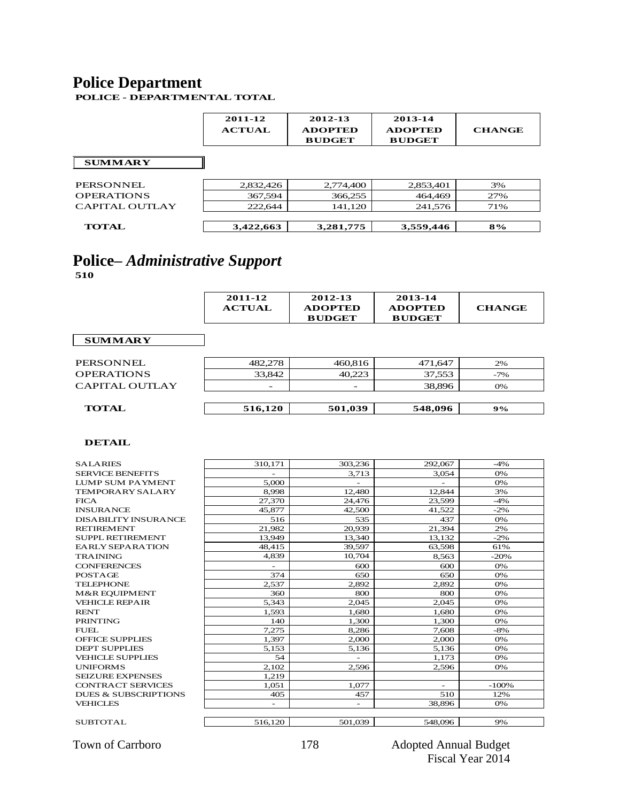### **Police Department**

**POLICE - DEPARTMENTAL TOTAL**

 $\mathbf{r}$ 

|                   | 2011-12<br><b>ACTUAL</b> | 2012-13<br><b>ADOPTED</b><br><b>BUDGET</b> | 2013-14<br><b>ADOPTED</b><br><b>BUDGET</b> | <b>CHANGE</b> |
|-------------------|--------------------------|--------------------------------------------|--------------------------------------------|---------------|
| <b>SUMMARY</b>    |                          |                                            |                                            |               |
| PERSONNEL         | 2,832,426                | 2,774,400                                  | 2,853,401                                  | 3%            |
| <b>OPERATIONS</b> | 367,594                  | 366,255                                    | 464,469                                    | 27%           |
| CAPITAL OUTLAY    | 222,644                  | 141,120                                    | 241,576                                    | 71%           |
| <b>TOTAL</b>      | 3,422,663                | 3,281,775                                  | 3,559,446                                  | 8%            |

# **Police–** *Administrative Support*

**510**

|                | 2011-12<br><b>ACTUAL</b> | 2012-13<br><b>ADOPTED</b><br><b>BUDGET</b> | 2013-14<br><b>ADOPTED</b><br><b>BUDGET</b> | <b>CHANGE</b> |
|----------------|--------------------------|--------------------------------------------|--------------------------------------------|---------------|
| <b>SUMMARY</b> |                          |                                            |                                            |               |

| <b>TOTAL</b>      | 516,120                  | 501,039                  | 548,096 | 9%    |
|-------------------|--------------------------|--------------------------|---------|-------|
|                   |                          |                          |         |       |
| CAPITAL OUTLAY    | $\overline{\phantom{0}}$ | $\overline{\phantom{0}}$ | 38.896  | 0%    |
| <b>OPERATIONS</b> | 33,842                   | 40.223                   | 37,553  | $-7%$ |
| PERSONNEL         | 482,278                  | 460,816                  | 471,647 | 2%    |

| <b>SALARIES</b>                 | 310,171 | 303,236                  | 292,067                  | $-4%$   |
|---------------------------------|---------|--------------------------|--------------------------|---------|
| <b>SERVICE BENEFITS</b>         |         | 3,713                    | 3,054                    | 0%      |
| <b>LUMP SUM PAYMENT</b>         | 5,000   |                          |                          | 0%      |
| <b>TEMPORARY SALARY</b>         | 8,998   | 12,480                   | 12.844                   | 3%      |
| <b>FICA</b>                     | 27,370  | 24,476                   | 23,599                   | $-4%$   |
| <b>INSURANCE</b>                | 45,877  | 42,500                   | 41,522                   | $-2%$   |
| <b>DISABILITY INSURANCE</b>     | 516     | 535                      | 437                      | 0%      |
| <b>RETIREMENT</b>               | 21,982  | 20,939                   | 21,394                   | 2%      |
| SUPPL RETIREMENT                | 13,949  | 13,340                   | 13,132                   | $-2%$   |
| <b>EARLY SEPARATION</b>         | 48,415  | 39,597                   | 63,598                   | 61%     |
| <b>TRAINING</b>                 | 4,839   | 10,704                   | 8,563                    | $-20%$  |
| <b>CONFERENCES</b>              |         | 600                      | 600                      | 0%      |
| <b>POSTAGE</b>                  | 374     | 650                      | 650                      | 0%      |
| <b>TELEPHONE</b>                | 2,537   | 2,892                    | 2,892                    | 0%      |
| <b>M&amp;R EOUIPMENT</b>        | 360     | 800                      | 800                      | 0%      |
| <b>VEHICLE REPAIR</b>           | 5,343   | 2,045                    | 2,045                    | 0%      |
| <b>RENT</b>                     | 1,593   | 1,680                    | 1,680                    | 0%      |
| <b>PRINTING</b>                 | 140     | 1,300                    | 1,300                    | 0%      |
| FUEL                            | 7,275   | 8,286                    | 7.608                    | $-8%$   |
| <b>OFFICE SUPPLIES</b>          | 1,397   | 2,000                    | 2,000                    | 0%      |
| <b>DEPT SUPPLIES</b>            | 5,153   | 5,136                    | 5,136                    | 0%      |
| <b>VEHICLE SUPPLIES</b>         | 54      |                          | 1,173                    | 0%      |
| <b>UNIFORMS</b>                 | 2,102   | 2.596                    | 2.596                    | 0%      |
| <b>SEIZURE EXPENSES</b>         | 1,219   |                          |                          |         |
| <b>CONTRACT SERVICES</b>        | 1.051   | 1.077                    | $\overline{\phantom{a}}$ | $-100%$ |
| <b>DUES &amp; SUBSCRIPTIONS</b> | 405     | 457                      | 510                      | 12%     |
| <b>VEHICLES</b>                 |         | $\overline{\phantom{0}}$ | 38,896                   | 0%      |
| SUBTOTAL                        | 516,120 | 501.039                  | 548,096                  | 9%      |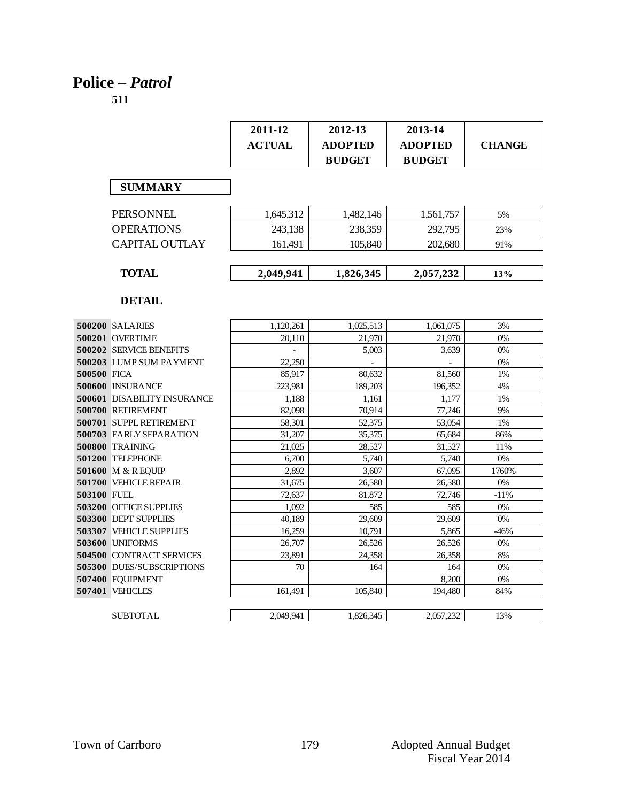# **Police –** *Patrol*

|                                    | 2011-12        | 2012-13                  | 2013-14                  |               |
|------------------------------------|----------------|--------------------------|--------------------------|---------------|
|                                    | <b>ACTUAL</b>  | <b>ADOPTED</b>           | <b>ADOPTED</b>           | <b>CHANGE</b> |
|                                    |                | <b>BUDGET</b>            | <b>BUDGET</b>            |               |
|                                    |                |                          |                          |               |
| <b>SUMMARY</b>                     |                |                          |                          |               |
|                                    |                |                          |                          |               |
| <b>PERSONNEL</b>                   | 1,645,312      | 1,482,146                | 1,561,757                | 5%            |
| <b>OPERATIONS</b>                  | 243,138        | 238,359                  | 292,795                  | 23%           |
| <b>CAPITAL OUTLAY</b>              | 161,491        | 105,840                  | 202,680                  | 91%           |
|                                    |                |                          |                          |               |
| <b>TOTAL</b>                       | 2,049,941      | 1,826,345                | 2,057,232                | 13%           |
|                                    |                |                          |                          |               |
| <b>DETAIL</b>                      |                |                          |                          |               |
|                                    |                |                          |                          |               |
| <b>500200 SALARIES</b>             | 1,120,261      | 1,025,513                | 1,061,075                | 3%            |
| 500201 OVERTIME                    | 20.110         | 21.970                   | 21,970                   | 0%            |
| <b>500202 SERVICE BENEFITS</b>     | $\overline{a}$ | 5,003                    | 3,639                    | 0%            |
| 500203 LUMP SUM PAYMENT            | 22,250         | $\overline{\phantom{a}}$ | $\overline{\phantom{0}}$ | 0%            |
| 500500 FICA                        | 85,917         | 80,632                   | 81,560                   | 1%            |
| 500600 INSURANCE                   | 223.981        | 189.203                  | 196.352                  | 4%            |
| <b>500601 DISABILITY INSURANCE</b> | 1.188          | 1,161                    | 1,177                    | 1%            |
| 500700 RETIREMENT                  | 82,098         | 70,914                   | 77,246                   | 9%            |
| 500701 SUPPL RETIREMENT            | 58,301         | 52,375                   | 53,054                   | 1%            |
| <b>500703 EARLY SEPARATION</b>     | 31,207         | 35,375                   | 65,684                   | 86%           |
| 500800 TRAINING                    | 21,025         | 28,527                   | 31,527                   | 11%           |
| 501200 TELEPHONE                   | 6,700          | 5,740                    | 5,740                    | 0%            |
| 501600 M & R EQUIP                 | 2.892          | 3,607                    | 67,095                   | 1760%         |
| 501700 VEHICLE REPAIR              | 31,675         | 26,580                   | 26.580                   | 0%            |
| 503100 FUEL                        | 72,637         | 81,872                   | 72,746                   | -11%          |
| <b>503200 OFFICE SUPPLIES</b>      | 1,092          | 585                      | 585                      | $0\%$         |
| 503300 DEPT SUPPLIES               | 40,189         | 29,609                   | 29,609                   | 0%            |
| <b>503307 VEHICLE SUPPLIES</b>     | 16,259         | 10,791                   | 5,865                    | $-46%$        |
| 503600 UNIFORMS                    | 26,707         | 26,526                   | 26,526                   | 0%            |
| <b>504500 CONTRACT SERVICES</b>    | 23,891         | 24,358                   | 26,358                   | 8%            |
| 505300 DUES/SUBSCRIPTIONS          | 70             | 164                      | 164                      | 0%            |
| 507400 EQUIPMENT                   |                |                          | 8,200                    | 0%            |
| 507401 VEHICLES                    | 161.491        | 105.840                  | 194.480                  | 84%           |
|                                    |                |                          |                          |               |
| <b>SUBTOTAL</b>                    | 2,049,941      | 1,826,345                | 2,057,232                | 13%           |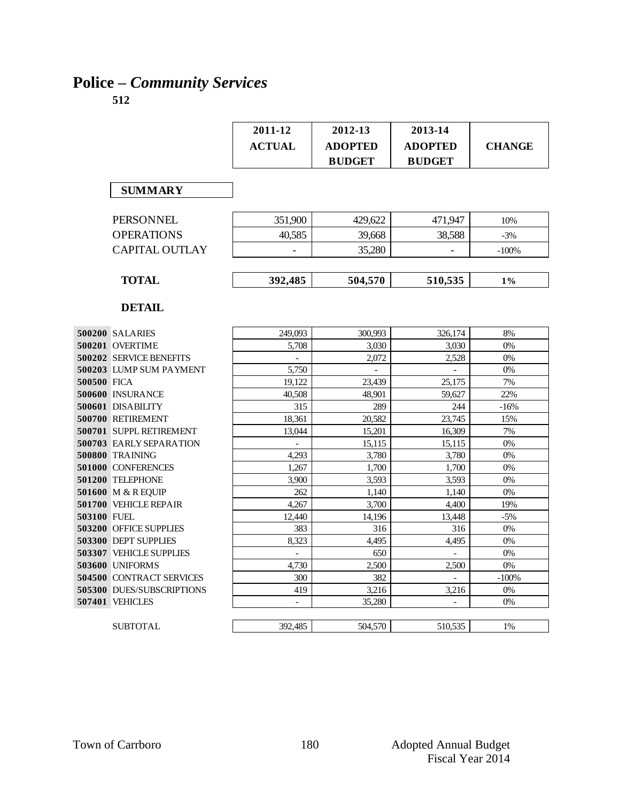# **Police –** *Community Services*

|             |                                | 2011-12                  | 2012-13        | 2013-14        |               |
|-------------|--------------------------------|--------------------------|----------------|----------------|---------------|
|             |                                | <b>ACTUAL</b>            | <b>ADOPTED</b> | <b>ADOPTED</b> | <b>CHANGE</b> |
|             |                                |                          | <b>BUDGET</b>  | <b>BUDGET</b>  |               |
|             |                                |                          |                |                |               |
|             |                                |                          |                |                |               |
|             | <b>SUMMARY</b>                 |                          |                |                |               |
|             |                                |                          |                |                |               |
|             | <b>PERSONNEL</b>               | 351,900                  | 429,622        | 471,947        | 10%           |
|             | <b>OPERATIONS</b>              | 40,585                   | 39.668         | 38,588         | $-3%$         |
|             | <b>CAPITAL OUTLAY</b>          |                          | 35,280         |                | $-100%$       |
|             |                                |                          |                |                |               |
|             | <b>TOTAL</b>                   | 392,485                  | 504,570        | 510,535        | 1%            |
|             |                                |                          |                |                |               |
|             | <b>DETAIL</b>                  |                          |                |                |               |
|             |                                |                          |                |                |               |
|             | 500200 SALARIES                | 249,093                  | 300,993        | 326,174        | 8%            |
|             | 500201 OVERTIME                | 5,708                    | 3,030          | 3,030          | 0%            |
|             | <b>500202 SERVICE BENEFITS</b> |                          | 2,072          | 2,528          | 0%            |
|             | 500203 LUMP SUM PAYMENT        | 5,750                    | $\omega$       | $\mathbf{r}$   | 0%            |
| 500500 FICA |                                | 19.122                   | 23,439         | 25.175         | 7%            |
|             | 500600 INSURANCE               | 40,508                   | 48,901         | 59,627         | 22%           |
|             | 500601 DISABILITY              | 315                      | 289            | 244            | $-16%$        |
|             | 500700 RETIREMENT              | 18,361                   | 20,582         | 23,745         | 15%           |
|             | 500701 SUPPL RETIREMENT        | 13,044                   | 15,201         | 16,309         | 7%            |
|             | <b>500703 EARLY SEPARATION</b> |                          | 15,115         | 15,115         | 0%            |
|             | <b>500800 TRAINING</b>         | 4.293                    | 3,780          | 3,780          | 0%            |
|             | 501000 CONFERENCES             | 1,267                    | 1,700          | 1,700          | 0%            |
|             | 501200 TELEPHONE               | 3.900                    | 3,593          | 3,593          | 0%            |
|             | 501600 M & R EQUIP             | 262                      | 1,140          | 1,140          | 0%            |
|             | 501700 VEHICLE REPAIR          | 4,267                    | 3,700          | 4,400          | 19%           |
| 503100 FUEL |                                | 12.440                   | 14.196         | 13,448         | $-5%$         |
|             | <b>503200 OFFICE SUPPLIES</b>  | 383                      | 316            | 316            | 0%            |
|             | <b>503300 DEPT SUPPLIES</b>    | 8.323                    | 4.495          | 4.495          | 0%            |
|             | <b>503307 VEHICLE SUPPLIES</b> |                          | 650            |                | 0%            |
|             | 503600 UNIFORMS                | 4,730                    | 2,500          | 2,500          | $0\%$         |
|             | 504500 CONTRACT SERVICES       | 300                      | 382            |                | $-100%$       |
|             | 505300 DUES/SUBSCRIPTIONS      | 419                      | 3,216          | 3,216          | 0%            |
|             | 507401 VEHICLES                | $\overline{\phantom{a}}$ | 35,280         |                | 0%            |
|             |                                |                          |                |                |               |
|             | <b>SUBTOTAL</b>                | 392,485                  | 504,570        | 510,535        | 1%            |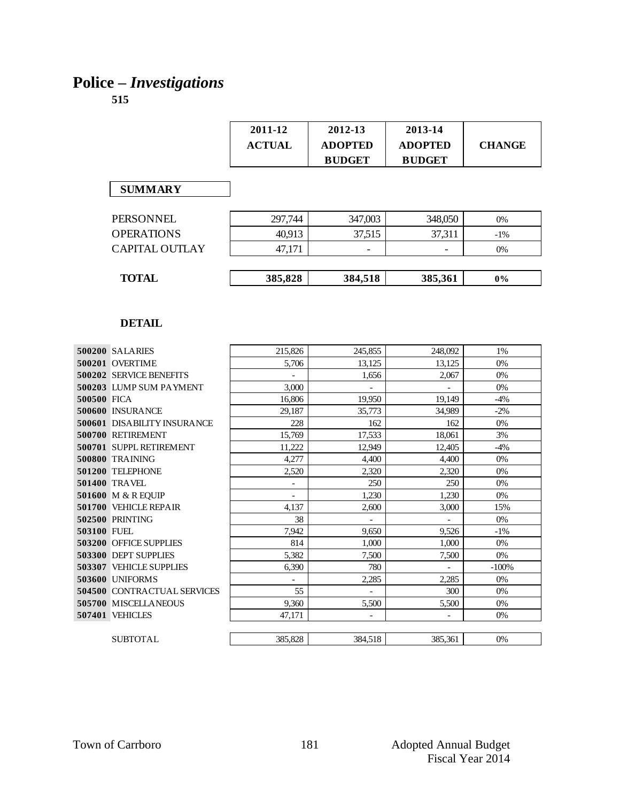# **Police –** *Investigations*

|                                    | 2011-12                  | 2012-13                  | 2013-14                  |               |
|------------------------------------|--------------------------|--------------------------|--------------------------|---------------|
|                                    | <b>ACTUAL</b>            | <b>ADOPTED</b>           | <b>ADOPTED</b>           | <b>CHANGE</b> |
|                                    |                          | <b>BUDGET</b>            | <b>BUDGET</b>            |               |
|                                    |                          |                          |                          |               |
| <b>SUMMARY</b>                     |                          |                          |                          |               |
|                                    |                          |                          |                          |               |
| <b>PERSONNEL</b>                   | 297,744                  | 347,003                  | 348,050                  | 0%            |
| <b>OPERATIONS</b>                  | 40,913                   | 37,515                   | 37,311                   | $-1%$         |
| <b>CAPITAL OUTLAY</b>              | 47,171                   | $\overline{\phantom{0}}$ | $\overline{\phantom{0}}$ | 0%            |
|                                    |                          |                          |                          |               |
| <b>TOTAL</b>                       | 385,828                  | 384,518                  | 385,361                  | $0\%$         |
|                                    |                          |                          |                          |               |
|                                    |                          |                          |                          |               |
|                                    |                          |                          |                          |               |
| <b>DETAIL</b>                      |                          |                          |                          |               |
|                                    |                          |                          |                          |               |
| 500200 SALARIES                    | 215,826                  | 245,855                  | 248,092                  | 1%            |
| 500201 OVERTIME                    | 5,706                    | 13.125                   | 13.125                   | 0%            |
| 500202 SERVICE BENEFITS            | $\omega$                 | 1,656                    | 2.067                    | 0%            |
| 500203 LUMP SUM PAYMENT            | 3,000                    | $\sim$                   | $\mathbf{r}$             | 0%            |
| 500500 FICA                        | 16,806                   | 19,950                   | 19,149                   | $-4%$         |
| 500600 INSURANCE                   | 29.187                   | 35,773                   | 34.989                   | $-2\%$        |
| <b>500601 DISABILITY INSURANCE</b> | 228                      | 162                      | 162                      | 0%            |
| 500700 RETIREMENT                  | 15,769                   | 17,533                   | 18,061                   | 3%            |
| 500701 SUPPL RETIREMENT            | 11,222                   | 12,949                   | 12,405                   | $-4%$         |
| <b>500800 TRAINING</b>             | 4,277                    | 4,400                    | 4,400                    | 0%            |
| 501200 TELEPHONE                   | 2,520                    | 2,320                    | 2,320                    | 0%            |
| 501400 TRAVEL                      | $\blacksquare$           | 250                      | 250                      | 0%            |
| 501600 M & R EQUIP                 | $\overline{\phantom{a}}$ | 1,230                    | 1,230                    | 0%            |
| 501700 VEHICLE REPAIR              | 4,137                    | 2,600                    | 3,000                    | 15%           |
| <b>502500 PRINTING</b>             | 38                       | $\sim$                   | $\mathcal{L}$            | 0%            |
| 503100 FUEL                        | 7,942                    | 9,650                    | 9,526                    | $-1%$         |
| 503200 OFFICE SUPPLIES             | 814                      | 1,000                    | 1,000                    | 0%            |
| 503300 DEPT SUPPLIES               | 5,382                    | 7,500                    | 7,500                    | 0%            |
| <b>503307 VEHICLE SUPPLIES</b>     | 6,390                    | 780                      |                          | $-100%$       |
| 503600 UNIFORMS                    | $\overline{a}$           | 2,285                    | 2,285                    | 0%            |
| <b>504500 CONTRACTUAL SERVICES</b> | 55                       |                          | 300                      | 0%            |
| 505700 MISCELLANEOUS               | 9,360                    | 5,500                    | 5,500                    | 0%            |
| 507401 VEHICLES                    | 47,171                   |                          |                          | 0%            |
|                                    |                          |                          |                          |               |
| <b>SUBTOTAL</b>                    | 385,828                  | 384,518                  | 385,361                  | $0\%$         |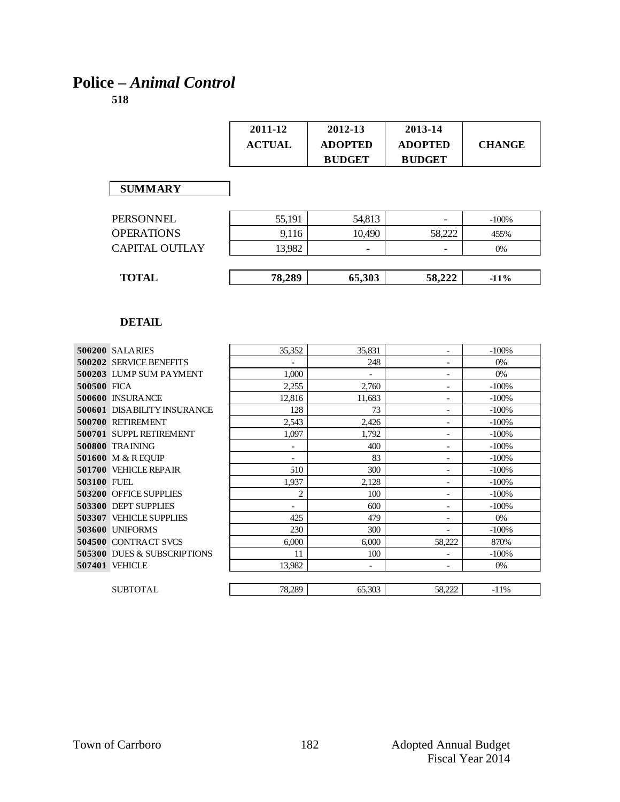# **Police –** *Animal Control*

|             |                             | 2011-12                  | 2012-13                  | 2013-14                  |               |
|-------------|-----------------------------|--------------------------|--------------------------|--------------------------|---------------|
|             |                             | <b>ACTUAL</b>            | <b>ADOPTED</b>           | <b>ADOPTED</b>           | <b>CHANGE</b> |
|             |                             |                          | <b>BUDGET</b>            | <b>BUDGET</b>            |               |
|             |                             |                          |                          |                          |               |
|             | <b>SUMMARY</b>              |                          |                          |                          |               |
|             |                             |                          |                          |                          |               |
|             | <b>PERSONNEL</b>            | 55,191                   | 54,813                   | $\overline{\phantom{0}}$ | $-100%$       |
|             | <b>OPERATIONS</b>           | 9,116                    | 10.490                   | 58,222                   | 455%          |
|             | <b>CAPITAL OUTLAY</b>       | 13,982                   |                          |                          | 0%            |
|             |                             |                          |                          |                          |               |
|             | <b>TOTAL</b>                | 78,289                   | 65,303                   | 58,222                   | $-11%$        |
|             |                             |                          |                          |                          |               |
|             |                             |                          |                          |                          |               |
|             | <b>DETAIL</b>               |                          |                          |                          |               |
|             |                             |                          |                          |                          |               |
|             | 500200 SALARIES             | 35,352                   | 35,831                   | $\overline{\phantom{0}}$ | $-100%$       |
|             | 500202 SERVICE BENEFITS     | $\equiv$                 | 248                      |                          | $0\%$         |
|             | 500203 LUMP SUM PAYMENT     | 1,000                    | $\overline{\phantom{a}}$ | $\overline{a}$           | 0%            |
| 500500 FICA |                             | 2.255                    | 2,760                    | $\overline{a}$           | $-100%$       |
|             | 500600 INSURANCE            | 12,816                   | 11.683                   |                          | $-100%$       |
|             | 500601 DISABILITY INSURANCE | 128                      | 73                       | $\overline{a}$           | $-100%$       |
|             | 500700 RETIREMENT           | 2,543                    | 2,426                    | $\overline{\phantom{0}}$ | $-100%$       |
|             | 500701 SUPPL RETIREMENT     | 1.097                    | 1,792                    | $\overline{\phantom{a}}$ | $-100%$       |
|             | 500800 TRAINING             | $\overline{\phantom{a}}$ | 400                      | $\qquad \qquad -$        | $-100%$       |
|             | 501600 M & R EQUIP          | $\overline{\phantom{0}}$ | 83                       | $\overline{a}$           | $-100%$       |
|             | 501700 VEHICLE REPAIR       | 510                      | 300                      | $\overline{a}$           | $-100%$       |
| 503100 FUEL |                             | 1.937                    | 2.128                    | $\overline{a}$           | $-100%$       |
|             | 503200 OFFICE SUPPLIES      | $\overline{c}$           | 100                      |                          | $-100%$       |
|             | 503300 DEPT SUPPLIES        | $\frac{1}{2}$            | 600                      | $\overline{a}$           | $-100%$       |
|             | 503307 VEHICLE SUPPLIES     | 425                      | 479                      | $\overline{a}$           | $0\%$         |
|             | 503600 UNIFORMS             | 230                      | 300                      | $\overline{a}$           | $-100%$       |
|             | 504500 CONTRACT SVCS        | 6,000                    | 6,000                    | 58,222                   | 870%          |
|             | 505300 DUES & SUBSCRIPTIONS | 11                       | 100                      | $\overline{\phantom{a}}$ | $-100%$       |
|             | 507401 VEHICLE              | 13,982                   | $\overline{a}$           |                          | 0%            |
|             |                             |                          |                          |                          |               |
|             | <b>SUBTOTAL</b>             | 78.289                   | 65.303                   | 58.222                   | $-11\%$       |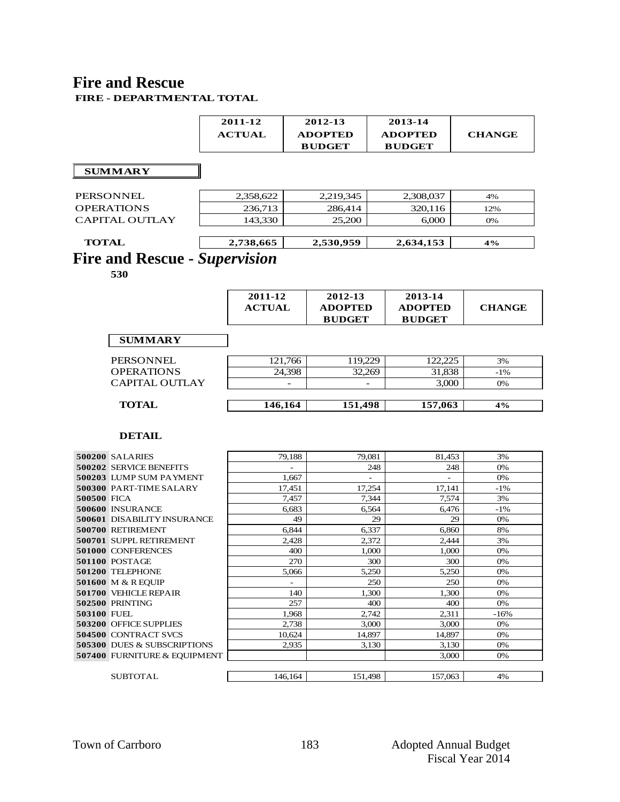#### **Fire and Rescue FIRE - DEPARTMENTAL TOTAL**

|                                      | 2011-12       |            | 2012-13        | 2013-14                  |                |               |
|--------------------------------------|---------------|------------|----------------|--------------------------|----------------|---------------|
|                                      | <b>ACTUAL</b> |            | <b>ADOPTED</b> |                          | <b>ADOPTED</b> | <b>CHANGE</b> |
|                                      |               |            | <b>BUDGET</b>  | <b>BUDGET</b>            |                |               |
|                                      |               |            |                |                          |                |               |
| <b>SUMMARY</b>                       |               |            |                |                          |                |               |
|                                      |               |            |                |                          |                |               |
| PERSONNEL                            | 2,358,622     |            | 2,219,345      |                          | 2,308,037      | 4%            |
| <b>OPERATIONS</b>                    | 236,713       |            | 286,414        |                          | 320,116        | 12%           |
| <b>CAPITAL OUTLAY</b>                | 143,330       |            | 25,200         |                          | 6,000          |               |
|                                      |               |            |                |                          |                | 0%            |
| <b>TOTAL</b>                         | 2,738,665     |            | 2,530,959      |                          | 2,634,153      | 4%            |
| <b>Fire and Rescue - Supervision</b> |               |            |                |                          |                |               |
|                                      |               |            |                |                          |                |               |
| 530                                  |               |            |                |                          |                |               |
|                                      |               |            |                |                          |                |               |
|                                      | 2011-12       |            | 2012-13        |                          | 2013-14        |               |
|                                      | <b>ACTUAL</b> |            | <b>ADOPTED</b> |                          | <b>ADOPTED</b> | <b>CHANGE</b> |
|                                      |               |            | <b>BUDGET</b>  |                          | <b>BUDGET</b>  |               |
| <b>SUMMARY</b>                       |               |            |                |                          |                |               |
|                                      |               |            |                |                          |                |               |
| <b>PERSONNEL</b>                     |               | 121,766    | 119,229        |                          | 122,225        | 3%            |
| <b>OPERATIONS</b>                    |               | 24,398     | 32.269         |                          | 31,838         | $-1\%$        |
| <b>CAPITAL OUTLAY</b>                |               |            |                |                          | 3,000          | 0%            |
|                                      |               |            |                |                          |                |               |
| <b>TOTAL</b>                         | 146,164       |            | 151,498        |                          | 157,063        | 4%            |
|                                      |               |            |                |                          |                |               |
| <b>DETAIL</b>                        |               |            |                |                          |                |               |
|                                      |               |            |                |                          |                |               |
| 500200 SALARIES                      |               | 79,188     | 79,081         |                          | 81,453         | 3%            |
| 500202 SERVICE BENEFITS              |               |            |                | 248                      | 248            | 0%            |
| 500203 LUMP SUM PAYMENT              |               | 1,667      |                | $\overline{\phantom{a}}$ |                | 0%            |
| 500300 PART-TIME SALARY              |               | 17,451     | 17,254         |                          | 17,141         | -1%           |
| 500500 FICA                          |               | 7,457      |                | 7,344                    | 7,574          | 3%            |
| 500600 INSURANCE                     |               | 6,683      |                | 6,564                    | 6,476          | $-1\%$        |
| <b>500601 DISABILITY INSURANCE</b>   |               | 49         |                | 29                       | 29             | 0%            |
| 500700 RETIREMENT                    |               | 6,844      |                | 6,337                    | 6,860          | 8%            |
| 500701 SUPPL RETIREMENT              |               | 2,428      |                | 2,372                    | 2,444          | 3%            |
| 501000 CONFERENCES                   |               | 400<br>270 |                | 1,000                    | 1,000          | 0%            |
| 501100 POSTAGE<br>501200 TELEPHONE   |               | 5,066      |                | 300<br>5,250             | 300<br>5,250   | 0%<br>$0\%$   |
| <b>501600 M &amp; R EQUIP</b>        |               |            |                | 250                      | 250            | 0%            |
| 501700 VEHICLE REPAIR                |               | 140        |                | 1,300                    | 1,300          | 0%            |
| <b>502500 PRINTING</b>               |               | 257        |                | 400                      | 400            | 0%            |
| 503100 FUEL                          |               | 1,968      |                | 2,742                    | 2,311          | $-16%$        |
| 503200 OFFICE SUPPLIES               |               | 2.738      |                | 3,000                    | 3,000          | 0%            |
| 504500 CONTRACT SVCS                 |               | 10,624     | 14,897         |                          | 14,897         | 0%            |
| 505300 DUES & SUBSCRIPTIONS          |               | 2,935      |                | 3,130                    | 3,130          | 0%            |
| 507400 FURNITURE & EQUIPMENT         |               |            |                |                          | 3,000          | 0%            |
|                                      |               |            |                |                          |                |               |
| <b>SUBTOTAL</b>                      |               | 146,164    | 151,498        |                          | 157,063        | 4%            |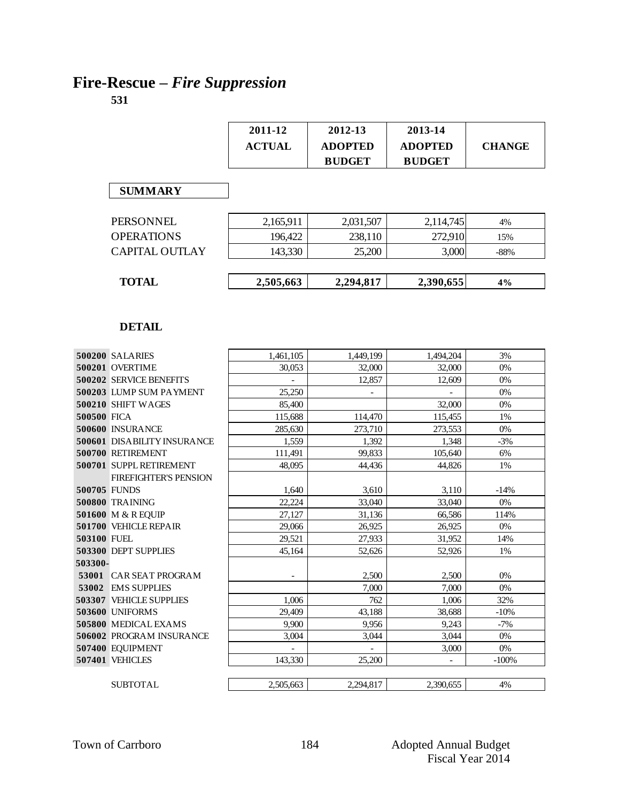# **Fire-Rescue –** *Fire Suppression*

|                       | 2011-12<br><b>ACTUAL</b> | 2012-13<br><b>ADOPTED</b><br><b>BUDGET</b> | 2013-14<br><b>ADOPTED</b><br><b>BUDGET</b> | <b>CHANGE</b> |
|-----------------------|--------------------------|--------------------------------------------|--------------------------------------------|---------------|
| <b>SUMMARY</b>        |                          |                                            |                                            |               |
| <b>PERSONNEL</b>      | 2,165,911                | 2,031,507                                  | 2,114,745                                  | 4%            |
| <b>OPERATIONS</b>     | 196,422                  | 238,110                                    | 272,910                                    | 15%           |
| <b>CAPITAL OUTLAY</b> | 143,330                  | 25,200                                     | 3,000                                      | $-88%$        |
| <b>TOTAL</b>          | 2,505,663                | 2,294,817                                  | 2,390,655                                  | 4%            |
|                       |                          |                                            |                                            |               |

|                    | 500200 SALARIES                    | 1,461,105 | 1,449,199      | 1,494,204 | 3%      |
|--------------------|------------------------------------|-----------|----------------|-----------|---------|
|                    | 500201 OVERTIME                    | 30,053    | 32,000         | 32,000    | 0%      |
|                    | 500202 SERVICE BENEFITS            |           | 12,857         | 12,609    | 0%      |
|                    | 500203 LUMP SUM PAYMENT            | 25,250    |                |           | 0%      |
|                    | 500210 SHIFT WAGES                 | 85,400    |                | 32,000    | 0%      |
| 500500 FICA        |                                    | 115,688   | 114,470        | 115,455   | 1%      |
|                    | 500600 INSURANCE                   | 285,630   | 273,710        | 273,553   | 0%      |
|                    | <b>500601 DISABILITY INSURANCE</b> | 1,559     | 1,392          | 1,348     | $-3%$   |
|                    | 500700 RETIREMENT                  | 111,491   | 99,833         | 105,640   | 6%      |
|                    | 500701 SUPPL RETIREMENT            | 48,095    | 44.436         | 44.826    | 1%      |
|                    | <b>FIREFIGHTER'S PENSION</b>       |           |                |           |         |
| 500705 FUNDS       |                                    | 1,640     | 3,610          | 3,110     | $-14%$  |
|                    | <b>500800 TRAINING</b>             | 22,224    | 33,040         | 33,040    | 0%      |
|                    | 501600 M & R EQUIP                 | 27,127    | 31,136         | 66,586    | 114%    |
|                    | 501700 VEHICLE REPAIR              | 29,066    | 26,925         | 26,925    | 0%      |
| <b>503100 FUEL</b> |                                    | 29,521    | 27,933         | 31,952    | 14%     |
|                    | 503300 DEPT SUPPLIES               | 45,164    | 52,626         | 52,926    | 1%      |
| 503300-            |                                    |           |                |           |         |
|                    | <b>53001 CAR SEAT PROGRAM</b>      |           | 2,500          | 2,500     | 0%      |
|                    | 53002 EMS SUPPLIES                 |           | 7.000          | 7.000     | 0%      |
|                    | <b>503307 VEHICLE SUPPLIES</b>     | 1,006     | 762            | 1,006     | 32%     |
|                    | 503600 UNIFORMS                    | 29,409    | 43,188         | 38,688    | $-10%$  |
|                    | 505800 MEDICAL EXAMS               | 9.900     | 9.956          | 9,243     | $-7%$   |
|                    | <b>506002 PROGRAM INSURANCE</b>    | 3,004     | 3,044          | 3,044     | 0%      |
|                    | 507400 EQUIPMENT                   |           | $\overline{a}$ | 3,000     | 0%      |
|                    | 507401 VEHICLES                    | 143,330   | 25,200         |           | $-100%$ |
|                    |                                    |           |                |           |         |
|                    | <b>SUBTOTAL</b>                    | 2.505.663 | 2.294.817      | 2.390.655 | 4%      |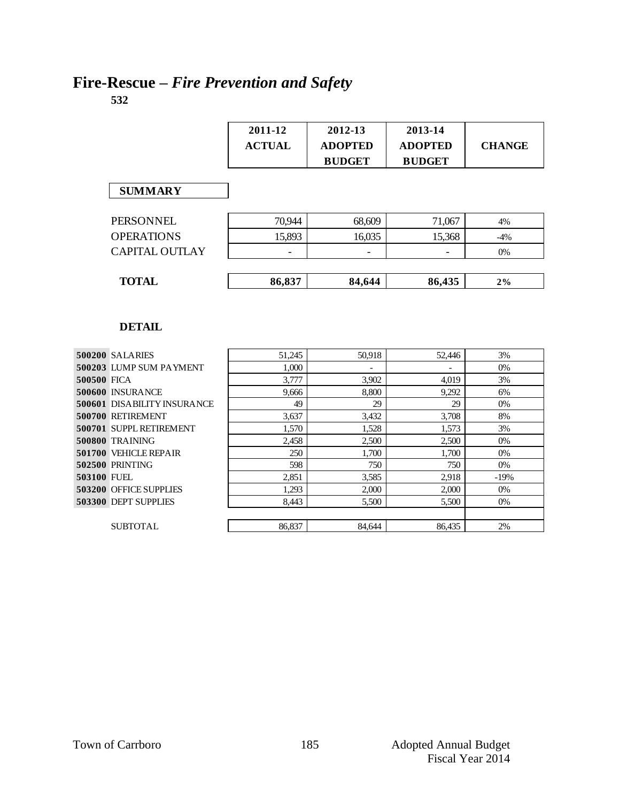#### **Fire-Rescue –** *Fire Prevention and Safety* **532**

|             |                                    | 2011-12<br><b>ACTUAL</b> | 2012-13<br><b>ADOPTED</b><br><b>BUDGET</b> | 2013-14<br><b>ADOPTED</b><br><b>BUDGET</b> | <b>CHANGE</b> |
|-------------|------------------------------------|--------------------------|--------------------------------------------|--------------------------------------------|---------------|
|             | <b>SUMMARY</b>                     |                          |                                            |                                            |               |
|             | PERSONNEL                          | 70,944                   | 68,609                                     | 71,067                                     | 4%            |
|             | <b>OPERATIONS</b>                  | 15,893                   | 16,035                                     | 15,368                                     | $-4%$         |
|             | <b>CAPITAL OUTLAY</b>              |                          |                                            |                                            | 0%            |
|             |                                    |                          |                                            |                                            |               |
|             | <b>TOTAL</b>                       | 86,837                   | 84,644                                     | 86,435                                     | 2%            |
|             | <b>DETAIL</b>                      |                          |                                            |                                            |               |
|             | 500200 SALARIES                    | 51,245                   | 50.918                                     | 52,446                                     | 3%            |
|             | 500203 LUMP SUM PAYMENT            | 1,000                    |                                            |                                            | 0%            |
| 500500 FICA |                                    | 3,777                    | 3,902                                      | 4,019                                      | 3%            |
|             | 500600 INSURANCE                   | 9,666                    | 8,800                                      | 9,292                                      | 6%            |
|             | <b>500601 DISABILITY INSURANCE</b> | 49                       | 29                                         | 29                                         | 0%            |
|             | 500700 RETIREMENT                  | 3,637                    | 3,432                                      | 3,708                                      | 8%            |
|             | 500701 SUPPL RETIREMENT            | 1,570                    | 1,528                                      | 1,573                                      | 3%            |
|             | <b>500800 TRAINING</b>             | 2,458                    | 2,500                                      | 2,500                                      | 0%            |
|             | 501700 VEHICLE REPAIR              | 250                      | 1,700                                      | 1,700                                      | 0%            |

 PRINTING **598** 750 750 750 0% FUEL 2,851 3,585 2,918 -19% OFFICE SUPPLIES 1,293 2,000 2,000 0% DEPT SUPPLIES 8,443 5,500 5,500 6%

SUBTOTAL 86,837 84,644 86,435 2%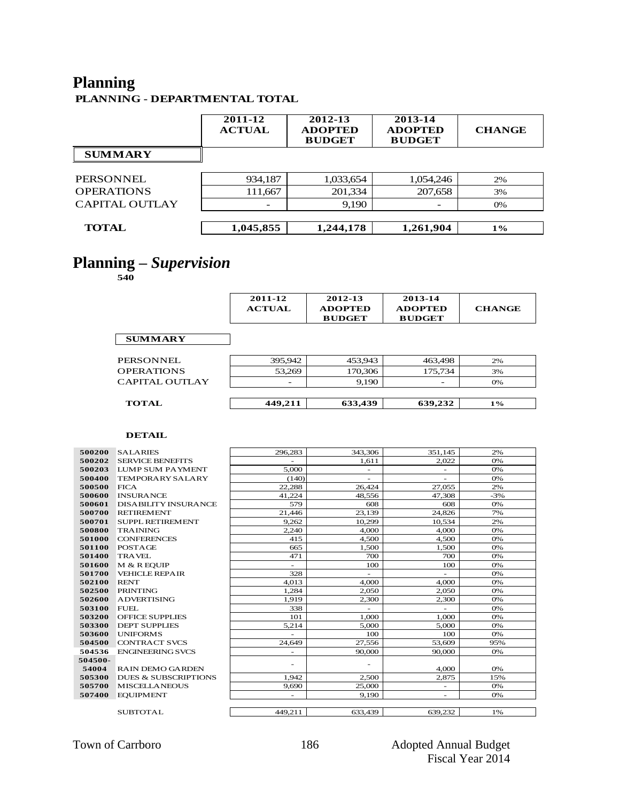### **Planning**

**PLANNING - DEPARTMENTAL TOTAL**

|                       | 2011-12<br><b>ACTUAL</b> | 2012-13<br><b>ADOPTED</b><br><b>BUDGET</b> | 2013-14<br><b>ADOPTED</b><br><b>BUDGET</b> | <b>CHANGE</b> |
|-----------------------|--------------------------|--------------------------------------------|--------------------------------------------|---------------|
| <b>SUMMARY</b>        |                          |                                            |                                            |               |
| <b>PERSONNEL</b>      | 934,187                  | 1,033,654                                  | 1,054,246                                  | 2%            |
| <b>OPERATIONS</b>     | 111,667                  | 201,334                                    | 207,658                                    | 3%            |
| <b>CAPITAL OUTLAY</b> |                          | 9,190                                      |                                            | 0%            |
| <b>TOTAL</b>          | 1,045,855                | 1,244,178                                  | 1,261,904                                  | $1\%$         |

### **Planning –** *Supervision*

**540**

|                       | 2011-12<br><b>ACTUAL</b> | 2012-13<br><b>ADOPTED</b><br><b>BUDGET</b> | 2013-14<br><b>ADOPTED</b><br><b>BUDGET</b> | <b>CHANGE</b> |
|-----------------------|--------------------------|--------------------------------------------|--------------------------------------------|---------------|
| <b>SUMMARY</b>        |                          |                                            |                                            |               |
| PERSONNEL             | 395,942                  | 453,943                                    | 463,498                                    | 2%            |
| <b>OPERATIONS</b>     | 53,269                   | 170,306                                    | 175,734                                    | 3%            |
| <b>CAPITAL OUTLAY</b> |                          | 9,190                                      |                                            | 0%            |
| <b>TOTAL</b>          | 449,211                  | 633,439                                    | 639,232                                    | $1\%$         |

| 500200  | <b>SALARIES</b>                 | 296.283                  | 343,306                  | 351.145                  | 2%    |
|---------|---------------------------------|--------------------------|--------------------------|--------------------------|-------|
| 500202  | <b>SERVICE BENEFITS</b>         | $\overline{\phantom{0}}$ | 1.611                    | 2.022                    | 0%    |
| 500203  | <b>LUMP SUM PAYMENT</b>         | 5,000                    | $\overline{\phantom{a}}$ | ٠                        | 0%    |
| 500400  | <b>TEMPORARY SALARY</b>         | (140)                    | ٠                        | ٠                        | 0%    |
| 500500  | <b>FICA</b>                     | 22,288                   | 26,424                   | 27,055                   | 2%    |
| 500600  | <b>INSURANCE</b>                | 41,224                   | 48,556                   | 47,308                   | $-3%$ |
| 500601  | <b>DISABILITY INSURANCE</b>     | 579                      | 608                      | 608                      | 0%    |
| 500700  | <b>RETIREMENT</b>               | 21,446                   | 23.139                   | 24,826                   | 7%    |
| 500701  | <b>SUPPL RETIREMENT</b>         | 9.262                    | 10,299                   | 10,534                   | 2%    |
| 500800  | <b>TRAINING</b>                 | 2.240                    | 4,000                    | 4.000                    | 0%    |
| 501000  | <b>CONFERENCES</b>              | 415                      | 4,500                    | 4,500                    | 0%    |
| 501100  | POSTAGE                         | 665                      | 1,500                    | 1,500                    | 0%    |
| 501400  | <b>TRAVEL</b>                   | 471                      | 700                      | 700                      | 0%    |
| 501600  | M & R EOUIP                     | $\overline{\phantom{0}}$ | 100                      | 100                      | 0%    |
| 501700  | <b>VEHICLE REPAIR</b>           | 328                      | $\overline{\phantom{a}}$ | $\sim$                   | 0%    |
| 502100  | <b>RENT</b>                     | 4,013                    | 4,000                    | 4,000                    | 0%    |
| 502500  | <b>PRINTING</b>                 | 1.284                    | 2.050                    | 2.050                    | 0%    |
| 502600  | <b>ADVERTISING</b>              | 1,919                    | 2,300                    | 2,300                    | 0%    |
| 503100  | <b>FUEL</b>                     | 338                      |                          |                          | 0%    |
| 503200  | <b>OFFICE SUPPLIES</b>          | 101                      | 1,000                    | 1,000                    | 0%    |
| 503300  | <b>DEPT SUPPLIES</b>            | 5.214                    | 5.000                    | 5.000                    | 0%    |
| 503600  | <b>UNIFORMS</b>                 | $\overline{\phantom{0}}$ | 100                      | 100                      | 0%    |
| 504500  | <b>CONTRACT SVCS</b>            | 24,649                   | 27,556                   | 53,609                   | 95%   |
| 504536  | <b>ENGINEERING SVCS</b>         | $\overline{\phantom{0}}$ | 90,000                   | 90,000                   | 0%    |
| 504500- |                                 | ٠                        |                          |                          |       |
| 54004   | <b>RAIN DEMO GARDEN</b>         |                          |                          | 4,000                    | 0%    |
| 505300  | <b>DUES &amp; SUBSCRIPTIONS</b> | 1.942                    | 2.500                    | 2,875                    | 15%   |
| 505700  | <b>MISCELLANEOUS</b>            | 9.690                    | 25,000                   | $\overline{\phantom{0}}$ | 0%    |
| 507400  | <b>EQUIPMENT</b>                | $\overline{\phantom{0}}$ | 9.190                    | ٠                        | 0%    |
|         |                                 |                          |                          |                          |       |
|         | <b>SUBTOTAL</b>                 | 449.211                  | 633.439                  | 639,232                  | 1%    |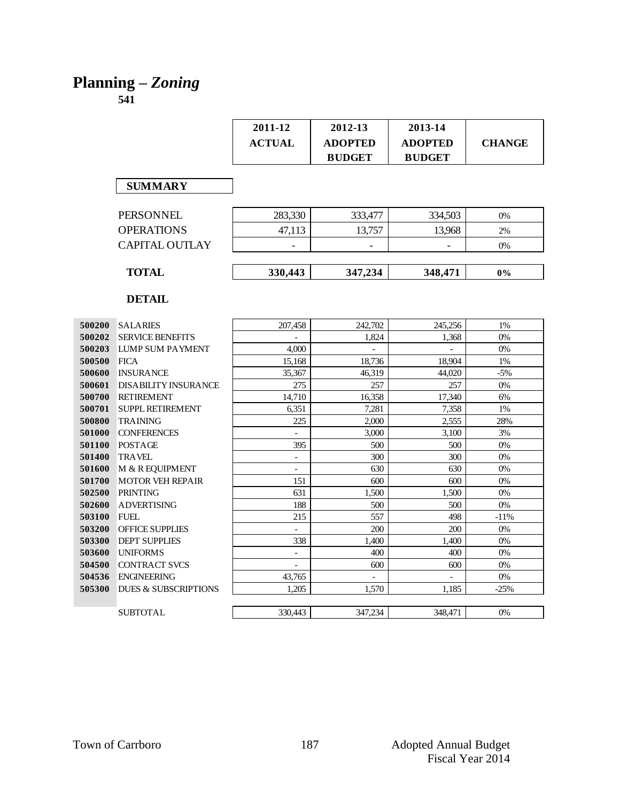# **Planning –** *Zoning*

|               |                                 | 2011-12                  | 2012-13        | 2013-14        |               |
|---------------|---------------------------------|--------------------------|----------------|----------------|---------------|
|               |                                 | <b>ACTUAL</b>            | <b>ADOPTED</b> | <b>ADOPTED</b> | <b>CHANGE</b> |
|               |                                 |                          | <b>BUDGET</b>  | <b>BUDGET</b>  |               |
|               |                                 |                          |                |                |               |
|               |                                 |                          |                |                |               |
|               | <b>SUMMARY</b>                  |                          |                |                |               |
|               |                                 |                          |                |                |               |
|               | <b>PERSONNEL</b>                | 283,330                  | 333,477        | 334,503        | 0%            |
|               | <b>OPERATIONS</b>               | 47,113                   | 13,757         | 13,968         | 2%            |
|               | <b>CAPITAL OUTLAY</b>           |                          |                |                | 0%            |
|               |                                 |                          |                |                |               |
|               | <b>TOTAL</b>                    | 330,443                  | 347,234        | 348,471        | 0%            |
|               |                                 |                          |                |                |               |
|               | <b>DETAIL</b>                   |                          |                |                |               |
|               |                                 |                          |                |                |               |
| 500200        | <b>SALARIES</b>                 | 207.458                  | 242,702        | 245,256        | 1%            |
| 500202        | <b>SERVICE BENEFITS</b>         | $\equiv$                 | 1.824          | 1,368          | 0%            |
| 500203        | <b>LUMP SUM PAYMENT</b>         | 4.000                    | $\equiv$       | $\blacksquare$ | 0%            |
| 500500        | <b>FICA</b>                     | 15,168                   | 18,736         | 18,904         | 1%            |
| 500600        | <b>INSURANCE</b>                | 35,367                   | 46,319         | 44.020         | $-5%$         |
| 500601        | <b>DISABILITY INSURANCE</b>     | 275                      | 257            | 257            | 0%            |
| 500700        | <b>RETIREMENT</b>               | 14,710                   | 16,358         | 17,340         | 6%            |
| 500701        | <b>SUPPL RETIREMENT</b>         | 6.351                    | 7.281          | 7,358          | 1%            |
| <b>500800</b> | <b>TRAINING</b>                 | 225                      | 2,000          | 2,555          | 28%           |
| 501000        | <b>CONFERENCES</b>              |                          | 3,000          | 3,100          | 3%            |
| 501100        | POSTAGE                         | 395                      | 500            | 500            | 0%            |
| 501400        | <b>TRAVEL</b>                   | $\mathbf{r}$             | 300            | 300            | 0%            |
| <b>501600</b> | M & R EQUIPMENT                 | $\overline{\phantom{a}}$ | 630            | 630            | 0%            |
| 501700        | <b>MOTOR VEH REPAIR</b>         | 151                      | 600            | 600            | 0%            |
| 502500        | <b>PRINTING</b>                 | 631                      | 1,500          | 1,500          | 0%            |
| 502600        | <b>ADVERTISING</b>              | 188                      | 500            | 500            | 0%            |
| 503100        | <b>FUEL</b>                     | 215                      | 557            | 498            | $-11\%$       |
| 503200        | <b>OFFICE SUPPLIES</b>          | $\overline{\phantom{a}}$ | 200            | 200            | 0%            |
| 503300        | <b>DEPT SUPPLIES</b>            | 338                      | 1,400          | 1,400          | 0%            |
| 503600        | <b>UNIFORMS</b>                 | $\blacksquare$           | 400            | 400            | 0%            |
| 504500        | <b>CONTRACT SVCS</b>            |                          | 600            | 600            | 0%            |
| 504536        | <b>ENGINEERING</b>              | 43,765                   | $\overline{a}$ |                | 0%            |
| 505300        | <b>DUES &amp; SUBSCRIPTIONS</b> | 1,205                    | 1,570          | 1,185          | $-25%$        |
|               |                                 |                          |                |                |               |
|               | <b>SUBTOTAL</b>                 | 330,443                  | 347.234        | 348,471        | 0%            |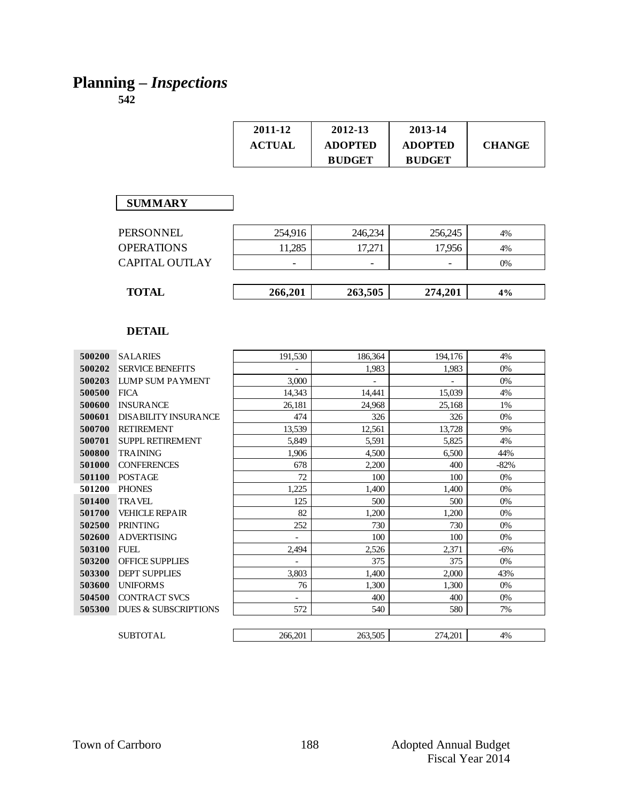# **Planning –** *Inspections*

| 2011-12       | 2012-13        | 2013-14        |               |
|---------------|----------------|----------------|---------------|
| <b>ACTUAL</b> | <b>ADOPTED</b> | <b>ADOPTED</b> | <b>CHANGE</b> |
|               | <b>BUDGET</b>  | <b>BUDGET</b>  |               |

#### **SUMMARY**

| PERSONNEL         | 254,916 | 246,234                  | 256,245 | 4% |
|-------------------|---------|--------------------------|---------|----|
| <b>OPERATIONS</b> | 11,285  | 17,271                   | 17,956  | 4% |
| CAPITAL OUTLAY    | -       | $\overline{\phantom{a}}$ | -       | 0% |
|                   |         |                          |         |    |
| <b>TOTAL</b>      | 266,201 | 263,505                  | 274,201 | 4% |
|                   |         |                          |         |    |

| 500200 | <b>SALARIES</b>                 | 191,530                  | 186,364 | 194,176 | 4%     |
|--------|---------------------------------|--------------------------|---------|---------|--------|
| 500202 | <b>SERVICE BENEFITS</b>         |                          | 1,983   | 1,983   | 0%     |
| 500203 | <b>LUMP SUM PAYMENT</b>         | 3,000                    |         |         | 0%     |
| 500500 | <b>FICA</b>                     | 14,343                   | 14,441  | 15,039  | 4%     |
| 500600 | <b>INSURANCE</b>                | 26,181                   | 24,968  | 25,168  | 1%     |
| 500601 | <b>DISABILITY INSURANCE</b>     | 474                      | 326     | 326     | 0%     |
| 500700 | <b>RETIREMENT</b>               | 13,539                   | 12,561  | 13,728  | 9%     |
| 500701 | <b>SUPPL RETIREMENT</b>         | 5,849                    | 5,591   | 5,825   | 4%     |
| 500800 | <b>TRAINING</b>                 | 1,906                    | 4,500   | 6,500   | 44%    |
| 501000 | <b>CONFERENCES</b>              | 678                      | 2,200   | 400     | $-82%$ |
| 501100 | POSTAGE                         | 72                       | 100     | 100     | $0\%$  |
| 501200 | <b>PHONES</b>                   | 1,225                    | 1,400   | 1,400   | $0\%$  |
| 501400 | <b>TRAVEL</b>                   | 125                      | 500     | 500     | 0%     |
| 501700 | <b>VEHICLE REPAIR</b>           | 82                       | 1,200   | 1,200   | $0\%$  |
| 502500 | <b>PRINTING</b>                 | 252                      | 730     | 730     | 0%     |
| 502600 | <b>ADVERTISING</b>              | $\overline{\phantom{0}}$ | 100     | 100     | 0%     |
| 503100 | <b>FUEL</b>                     | 2,494                    | 2,526   | 2,371   | $-6%$  |
| 503200 | <b>OFFICE SUPPLIES</b>          |                          | 375     | 375     | 0%     |
| 503300 | <b>DEPT SUPPLIES</b>            | 3,803                    | 1,400   | 2,000   | 43%    |
| 503600 | <b>UNIFORMS</b>                 | 76                       | 1.300   | 1.300   | 0%     |
| 504500 | <b>CONTRACT SVCS</b>            |                          | 400     | 400     | $0\%$  |
| 505300 | <b>DUES &amp; SUBSCRIPTIONS</b> | 572                      | 540     | 580     | 7%     |
|        |                                 |                          |         |         |        |
|        | <b>SUBTOTAL</b>                 | 266,201                  | 263,505 | 274,201 | 4%     |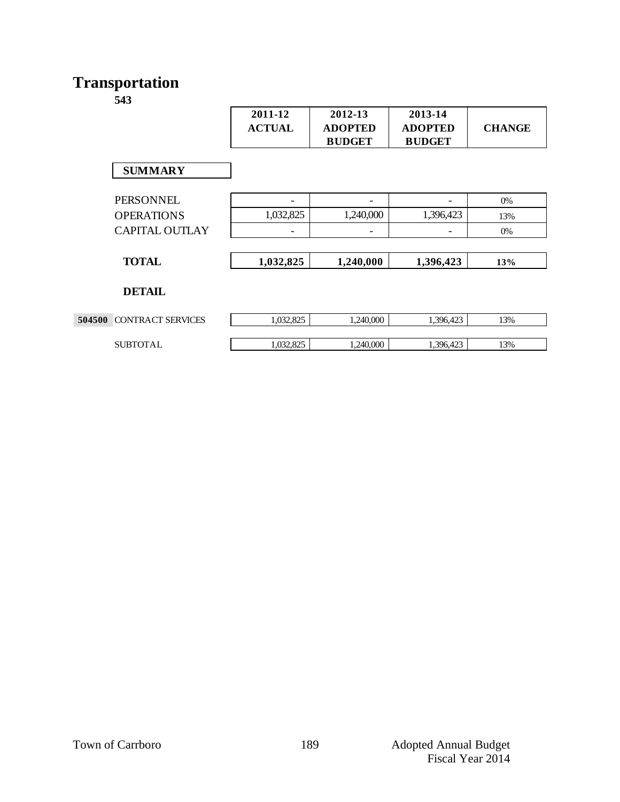# **Transportation**

|                                 | 2011-12<br><b>ACTUAL</b> | 2012-13<br><b>ADOPTED</b> | 2013-14<br><b>ADOPTED</b> | <b>CHANGE</b> |
|---------------------------------|--------------------------|---------------------------|---------------------------|---------------|
|                                 |                          | <b>BUDGET</b>             | <b>BUDGET</b>             |               |
| <b>SUMMARY</b>                  |                          |                           |                           |               |
| <b>PERSONNEL</b>                | $\overline{\phantom{0}}$ | $\overline{\phantom{a}}$  |                           | 0%            |
| <b>OPERATIONS</b>               | 1,032,825                | 1,240,000                 | 1,396,423                 | 13%           |
| <b>CAPITAL OUTLAY</b>           | -                        | $\overline{\phantom{a}}$  | $\overline{\phantom{0}}$  | 0%            |
|                                 |                          |                           |                           |               |
| <b>TOTAL</b>                    | 1,032,825                | 1,240,000                 | 1,396,423                 | 13%           |
| <b>DETAIL</b>                   |                          |                           |                           |               |
| <b>504500 CONTRACT SERVICES</b> | 1,032,825                | 1,240,000                 | 1,396,423                 | 13%           |
| <b>SUBTOTAL</b>                 | 1,032,825                | 1,240,000                 | 1,396,423                 | 13%           |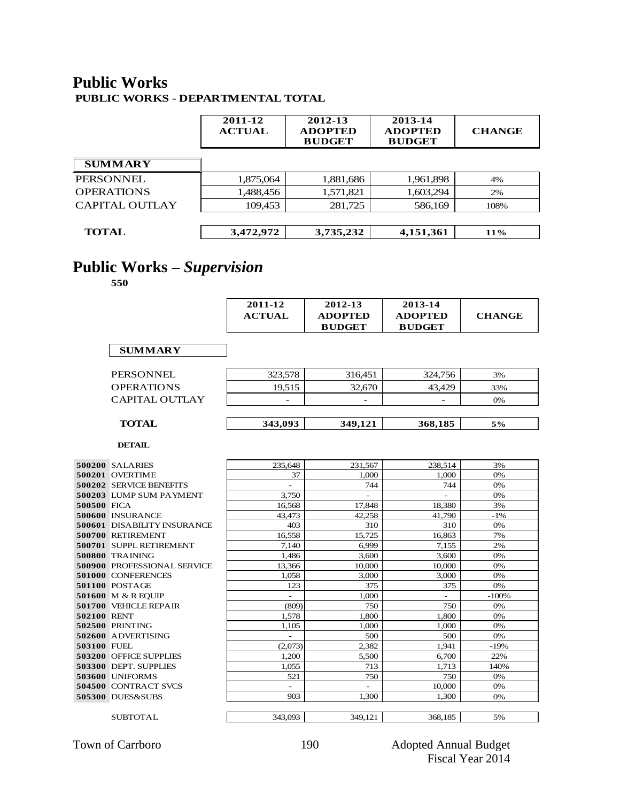## **Public Works**

**PUBLIC WORKS - DEPARTMENTAL TOTAL**

|                       | 2011-12<br><b>ACTUAL</b> | 2012-13<br><b>ADOPTED</b><br><b>BUDGET</b> | 2013-14<br><b>ADOPTED</b><br><b>BUDGET</b> | <b>CHANGE</b> |
|-----------------------|--------------------------|--------------------------------------------|--------------------------------------------|---------------|
| <b>SUMMARY</b>        |                          |                                            |                                            |               |
| <b>PERSONNEL</b>      | 1,875,064                | 1,881,686                                  | 1,961,898                                  | 4%            |
| <b>OPERATIONS</b>     | 1,488,456                | 1,571,821                                  | 1,603,294                                  | 2%            |
| <b>CAPITAL OUTLAY</b> | 109,453                  | 281,725                                    | 586,169                                    | 108%          |
|                       |                          |                                            |                                            |               |
| <b>TOTAL</b>          | 3,472,972                | 3,735,232                                  | 4,151,361                                  | 11%           |

### **Public Works –** *Supervision*

**550**

| 2011-12       | 2012-13        | 2013-14        |               |
|---------------|----------------|----------------|---------------|
| <b>ACTUAL</b> | <b>ADOPTED</b> | <b>ADOPTED</b> | <b>CHANGE</b> |
|               | <b>BUDGET</b>  | <b>BUDGET</b>  |               |

| <b>PERSONNEL</b>      | 323,578 | 316,451                  | 324,756 | 3%  |
|-----------------------|---------|--------------------------|---------|-----|
| <b>OPERATIONS</b>     | 19.515  | 32,670                   | 43.429  | 33% |
| <b>CAPITAL OUTLAY</b> | -       | $\overline{\phantom{a}}$ | -       | 0%  |
|                       |         |                          |         |     |
| <b>TOTAL</b>          | 343,093 | 349,121                  | 368,185 | 5%  |
|                       |         |                          |         |     |

|                    | 500200 SALARIES                    | 235,648                  | 231,567                  | 238,514                  | 3%      |
|--------------------|------------------------------------|--------------------------|--------------------------|--------------------------|---------|
|                    | 500201 OVERTIME                    | 37                       | 1.000                    | 1.000                    | 0%      |
|                    | 500202 SERVICE BENEFITS            | $\overline{\phantom{a}}$ | 744                      | 744                      | 0%      |
|                    | 500203 LUMP SUM PAYMENT            | 3,750                    | $\overline{\phantom{0}}$ | $\overline{\phantom{a}}$ | 0%      |
| 500500 FICA        |                                    | 16,568                   | 17,848                   | 18,380                   | 3%      |
|                    | 500600 INSURANCE                   | 43,473                   | 42,258                   | 41,790                   | $-1\%$  |
|                    | <b>500601 DISABILITY INSURANCE</b> | 403                      | 310                      | 310                      | 0%      |
|                    | 500700 RETIREMENT                  | 16,558                   | 15,725                   | 16,863                   | 7%      |
|                    | 500701 SUPPL RETIREMENT            | 7.140                    | 6,999                    | 7,155                    | 2%      |
|                    | <b>500800 TRAINING</b>             | 1,486                    | 3,600                    | 3,600                    | 0%      |
|                    | <b>500900 PROFESSIONAL SERVICE</b> | 13,366                   | 10.000                   | 10,000                   | 0%      |
|                    | <b>501000 CONFERENCES</b>          | 1.058                    | 3,000                    | 3.000                    | 0%      |
|                    | 501100 POSTAGE                     | 123                      | 375                      | 375                      | 0%      |
|                    | 501600 M & R EQUIP                 |                          | 1,000                    |                          | $-100%$ |
|                    | 501700 VEHICLE REPAIR              | (809)                    | 750                      | 750                      | 0%      |
| 502100 RENT        |                                    | 1,578                    | 1,800                    | 1.800                    | 0%      |
|                    | 502500 PRINTING                    | 1,105                    | 1.000                    | 1.000                    | 0%      |
|                    | 502600 ADVERTISING                 | $\sim$                   | 500                      | 500                      | 0%      |
| <b>503100 FUEL</b> |                                    | (2,073)                  | 2,382                    | 1,941                    | $-19%$  |
|                    | 503200 OFFICE SUPPLIES             | 1,200                    | 5,500                    | 6,700                    | 22%     |
|                    | 503300 DEPT. SUPPLIES              | 1.055                    | 713                      | 1,713                    | 140%    |
|                    | <b>503600 UNIFORMS</b>             | 521                      | 750                      | 750                      | 0%      |
|                    | 504500 CONTRACT SVCS               |                          | ÷                        | 10,000                   | 0%      |
|                    | 505300 DUES&SUBS                   | 903                      | 1,300                    | 1,300                    | 0%      |
|                    |                                    |                          |                          |                          |         |
|                    | <b>SUBTOTAL</b>                    | 343,093                  | 349.121                  | 368.185                  | 5%      |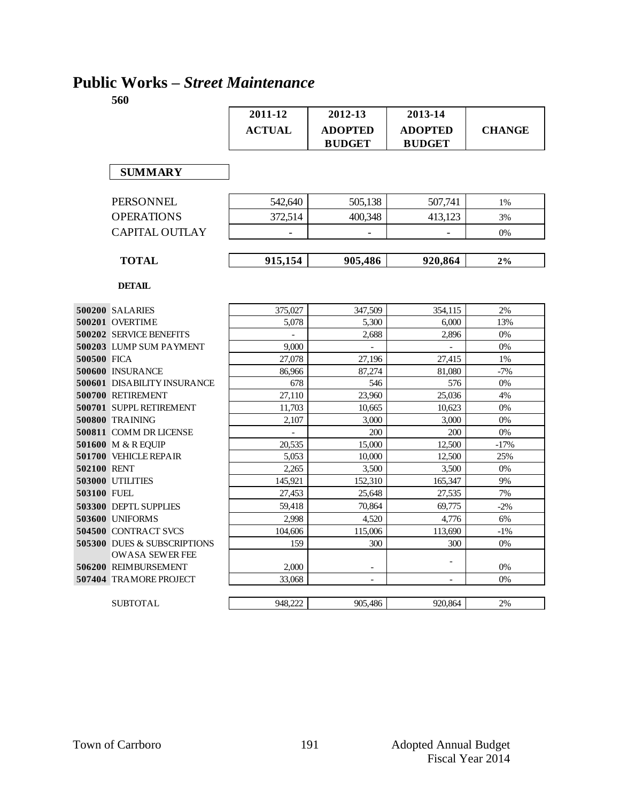### **Public Works –** *Street Maintenance*

|             |                                        | 2011-12       | 2012-13        | 2013-14        |               |
|-------------|----------------------------------------|---------------|----------------|----------------|---------------|
|             |                                        | <b>ACTUAL</b> | <b>ADOPTED</b> | <b>ADOPTED</b> | <b>CHANGE</b> |
|             |                                        |               | <b>BUDGET</b>  | <b>BUDGET</b>  |               |
|             |                                        |               |                |                |               |
|             | <b>SUMMARY</b>                         |               |                |                |               |
|             |                                        |               |                |                |               |
|             | <b>PERSONNEL</b>                       | 542,640       | 505.138        | 507.741        | 1%            |
|             | <b>OPERATIONS</b>                      | 372.514       | 400.348        | 413,123        | 3%            |
|             | <b>CAPITAL OUTLAY</b>                  |               |                |                | 0%            |
|             |                                        |               |                |                |               |
|             | <b>TOTAL</b>                           | 915,154       | 905,486        | 920,864        | 2%            |
|             |                                        |               |                |                |               |
|             | <b>DETAIL</b>                          |               |                |                |               |
|             | 500200 SALARIES                        | 375,027       | 347,509        | 354,115        | 2%            |
|             | 500201 OVERTIME                        | 5,078         | 5,300          | 6,000          | 13%           |
|             | 500202 SERVICE BENEFITS                |               | 2,688          | 2.896          | 0%            |
|             | 500203 LUMP SUM PAYMENT                | 9,000         | $\overline{a}$ | $\overline{a}$ | 0%            |
| 500500 FICA |                                        | 27,078        | 27.196         | 27.415         | 1%            |
|             | 500600 INSURANCE                       | 86,966        | 87,274         | 81,080         | $-7%$         |
|             | <b>500601 DISABILITY INSURANCE</b>     | 678           | 546            | 576            | 0%            |
|             | 500700 RETIREMENT                      | 27,110        | 23,960         | 25,036         | 4%            |
|             | 500701 SUPPL RETIREMENT                | 11,703        | 10,665         | 10,623         | 0%            |
|             | 500800 TRAINING                        | 2,107         | 3.000          | 3.000          | 0%            |
|             | 500811 COMM DR LICENSE                 |               | 200            | 200            | 0%            |
|             | 501600 M & R EQUIP                     | 20,535        | 15,000         | 12,500         | $-17%$        |
|             | 501700 VEHICLE REPAIR                  | 5,053         | 10,000         | 12,500         | 25%           |
| 502100 RENT |                                        | 2,265         | 3,500          | 3,500          | 0%            |
|             | <b>503000 UTILITIES</b>                | 145,921       | 152.310        | 165,347        | 9%            |
| 503100 FUEL |                                        | 27,453        | 25,648         | 27,535         | 7%            |
|             | 503300 DEPTL SUPPLIES                  | 59,418        | 70,864         | 69,775         | $-2%$         |
|             | 503600 UNIFORMS                        | 2.998         | 4.520          | 4.776          | 6%            |
|             | <b>504500 CONTRACT SVCS</b>            | 104.606       | 115,006        | 113,690        | $-1%$         |
|             | <b>505300 DUES &amp; SUBSCRIPTIONS</b> | 159           | 300            | 300            | 0%            |
|             | <b>OWASA SEWER FEE</b>                 |               |                |                |               |
|             | 506200 REIMBURSEMENT                   | 2,000         |                |                | 0%            |
|             | 507404 TRAMORE PROJECT                 | 33,068        |                |                | 0%            |
|             | <b>SUBTOTAL</b>                        | 948,222       | 905,486        | 920,864        | 2%            |
|             |                                        |               |                |                |               |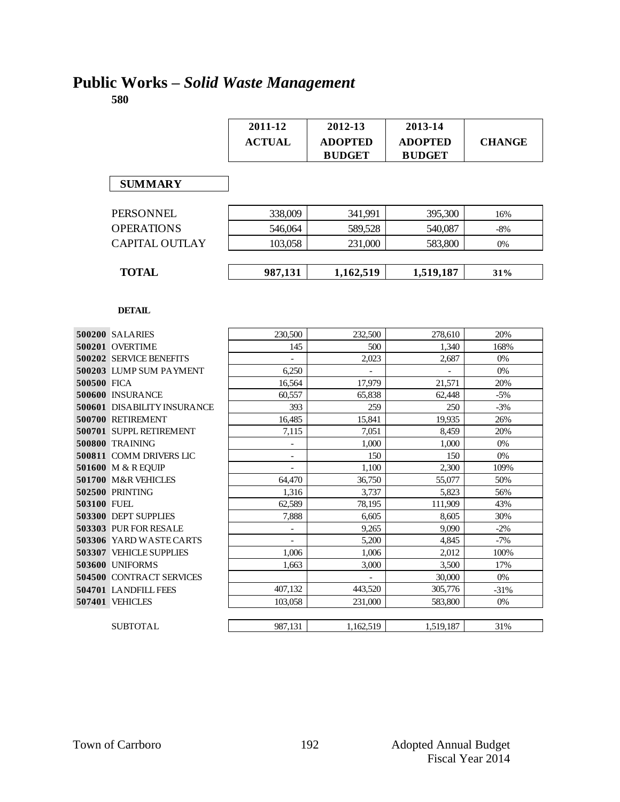### **Public Works –** *Solid Waste Management*

|             |                                    | 2011-12        | 2012-13        | 2013-14        |               |
|-------------|------------------------------------|----------------|----------------|----------------|---------------|
|             |                                    | <b>ACTUAL</b>  | <b>ADOPTED</b> | <b>ADOPTED</b> | <b>CHANGE</b> |
|             |                                    |                | <b>BUDGET</b>  | <b>BUDGET</b>  |               |
|             |                                    |                |                |                |               |
|             |                                    |                |                |                |               |
|             | <b>SUMMARY</b>                     |                |                |                |               |
|             |                                    |                |                |                |               |
|             | <b>PERSONNEL</b>                   | 338,009        | 341,991        | 395,300        | 16%           |
|             | <b>OPERATIONS</b>                  | 546,064        | 589.528        | 540,087        | $-8%$         |
|             | <b>CAPITAL OUTLAY</b>              | 103,058        | 231,000        | 583,800        | $0\%$         |
|             |                                    |                |                |                |               |
|             |                                    |                |                |                |               |
|             | <b>TOTAL</b>                       | 987,131        | 1,162,519      | 1,519,187      | 31%           |
|             |                                    |                |                |                |               |
|             |                                    |                |                |                |               |
|             | <b>DETAIL</b>                      |                |                |                |               |
|             | 500200 SALARIES                    | 230,500        | 232,500        | 278,610        | 20%           |
|             | 500201 OVERTIME                    | 145            | 500            | 1,340          | 168%          |
|             | 500202 SERVICE BENEFITS            |                | 2.023          | 2.687          | 0%            |
|             | 500203 LUMP SUM PAYMENT            | 6,250          |                |                | 0%            |
| 500500 FICA |                                    | 16.564         | 17.979         | 21.571         | 20%           |
|             | 500600 INSURANCE                   | 60,557         | 65,838         | 62,448         | $-5%$         |
|             | <b>500601 DISABILITY INSURANCE</b> | 393            | 259            | 250            | $-3%$         |
|             | 500700 RETIREMENT                  | 16,485         | 15,841         | 19,935         | 26%           |
|             | 500701 SUPPL RETIREMENT            | 7.115          | 7.051          | 8.459          | 20%           |
|             | 500800 TRAINING                    |                | 1,000          | 1,000          | 0%            |
|             | <b>500811 COMM DRIVERS LIC</b>     |                | 150            | 150            | 0%            |
|             | 501600 M & R EQUIP                 |                | 1,100          | 2,300          | 109%          |
|             | 501700 M&R VEHICLES                | 64.470         | 36,750         | 55,077         | 50%           |
|             | 502500 PRINTING                    | 1,316          | 3,737          | 5,823          | 56%           |
| 503100 FUEL |                                    | 62,589         | 78,195         | 111,909        | 43%           |
|             | 503300 DEPT SUPPLIES               | 7,888          | 6,605          | 8,605          | 30%           |
|             | 503303 PUR FOR RESALE              | $\overline{a}$ | 9,265          | 9,090          | $-2\%$        |
|             | 503306 YARD WASTE CARTS            |                | 5,200          | 4,845          | $-7%$         |
|             | <b>503307 VEHICLE SUPPLIES</b>     | 1,006          | 1,006          | 2,012          | 100%          |
|             | <b>503600 UNIFORMS</b>             | 1.663          | 3.000          | 3.500          | 17%           |
|             | <b>504500 CONTRACT SERVICES</b>    |                |                | 30,000         | 0%            |
|             | 504701 LANDFILL FEES               | 407,132        | 443,520        | 305,776        | $-31%$        |
|             | 507401 VEHICLES                    | 103,058        | 231,000        | 583,800        | $0\%$         |
|             |                                    |                |                |                |               |
|             | <b>SUBTOTAL</b>                    | 987,131        | 1,162,519      | 1,519,187      | 31%           |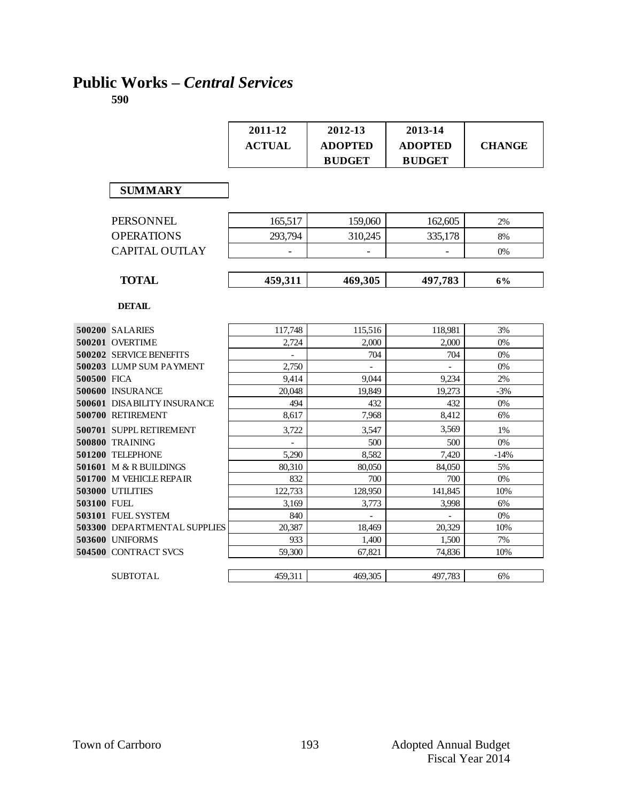### **Public Works –** *Central Services*

|             |                                                    | 2011-12<br><b>ACTUAL</b> | 2012-13<br><b>ADOPTED</b><br><b>BUDGET</b> | 2013-14<br><b>ADOPTED</b><br><b>BUDGET</b> | <b>CHANGE</b> |
|-------------|----------------------------------------------------|--------------------------|--------------------------------------------|--------------------------------------------|---------------|
|             | <b>SUMMARY</b>                                     |                          |                                            |                                            |               |
|             | <b>PERSONNEL</b>                                   | 165,517                  | 159,060                                    | 162,605                                    | 2%            |
|             | <b>OPERATIONS</b>                                  | 293.794                  | 310,245                                    | 335,178                                    | 8%            |
|             | <b>CAPITAL OUTLAY</b>                              |                          |                                            |                                            | 0%            |
|             | <b>TOTAL</b>                                       | 459,311                  | 469,305                                    | 497,783                                    | 6%            |
|             | <b>DETAIL</b>                                      |                          |                                            |                                            |               |
|             | 500200 SALARIES                                    | 117,748                  | 115,516                                    | 118,981                                    | 3%            |
|             | 500201 OVERTIME                                    | 2,724                    | 2.000                                      | 2,000                                      | $0\%$         |
|             | 500202 SERVICE BENEFITS                            |                          | 704                                        | 704                                        | $0\%$         |
|             | 500203 LUMP SUM PAYMENT                            | 2,750                    | $\equiv$                                   | $\overline{a}$                             | 0%            |
| 500500 FICA |                                                    | 9,414                    | 9.044                                      | 9,234                                      | 2%            |
|             | 500600 INSURANCE                                   | 20.048                   | 19.849                                     | 19,273                                     | $-3%$         |
|             | <b>500601 DISABILITY INSURANCE</b>                 | 494                      | 432                                        | 432                                        | 0%            |
|             | 500700 RETIREMENT                                  | 8,617                    | 7,968                                      | 8,412                                      | 6%            |
|             | 500701 SUPPL RETIREMENT                            | 3.722                    | 3.547                                      | 3.569                                      | 1%            |
|             | <b>500800 TRAINING</b>                             |                          | 500                                        | 500                                        | 0%            |
|             | 501200 TELEPHONE                                   | 5,290                    | 8,582                                      | 7,420                                      | $-14%$        |
|             | 501601 M & R BUILDINGS                             | 80,310                   | 80,050                                     | 84,050                                     | 5%            |
|             | 501700 M VEHICLE REPAIR<br><b>503000 UTILITIES</b> | 832<br>122.733           | 700<br>128,950                             | 700<br>141.845                             | 0%<br>10%     |
| 503100 FUEL |                                                    | 3,169                    | 3,773                                      | 3,998                                      | 6%            |
|             | 503101 FUEL SYSTEM                                 | 840                      |                                            |                                            | 0%            |
|             | 503300 DEPARTMENTAL SUPPLIES                       | 20,387                   | 18,469                                     | 20,329                                     | 10%           |
|             | 503600 UNIFORMS                                    | 933                      | 1,400                                      | 1,500                                      | 7%            |
|             | 504500 CONTRACT SVCS                               | 59,300                   | 67,821                                     | 74,836                                     | 10%           |
|             | <b>SUBTOTAL</b>                                    | 459.311                  | 469.305                                    | 497.783                                    | 6%            |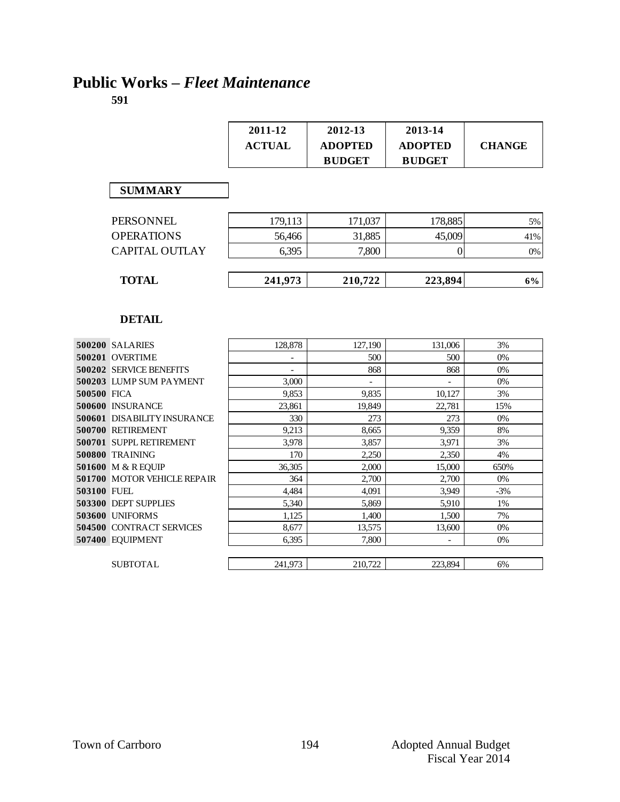### **Public Works –** *Fleet Maintenance*

|                            |                                              | 2011-12<br><b>ACTUAL</b> | 2012-13<br><b>ADOPTED</b><br><b>BUDGET</b> | 2013-14<br><b>ADOPTED</b><br><b>BUDGET</b> | <b>CHANGE</b> |
|----------------------------|----------------------------------------------|--------------------------|--------------------------------------------|--------------------------------------------|---------------|
|                            | <b>SUMMARY</b>                               |                          |                                            |                                            |               |
|                            | <b>PERSONNEL</b>                             | 179,113                  | 171,037                                    | 178,885                                    | 5%            |
|                            | <b>OPERATIONS</b>                            | 56,466                   | 31,885                                     | 45,009                                     | 41%           |
|                            | <b>CAPITAL OUTLAY</b>                        | 6,395                    | 7,800                                      | $\overline{0}$                             | 0%            |
|                            | <b>TOTAL</b>                                 | 241,973                  | 210,722                                    | 223,894                                    | 6%            |
|                            | 500200 SALARIES                              | 128,878                  | 127,190                                    | 131,006                                    | 3%            |
|                            | <b>DETAIL</b>                                |                          |                                            |                                            |               |
|                            |                                              |                          |                                            |                                            |               |
|                            | 500201 OVERTIME                              |                          | 500                                        | 500                                        | 0%            |
|                            | 500202 SERVICE BENEFITS                      |                          | 868                                        | 868                                        |               |
|                            |                                              |                          |                                            |                                            | 0%            |
|                            | 500203 LUMP SUM PAYMENT                      | 3,000                    |                                            |                                            | $0\%$         |
|                            |                                              | 9,853                    | 9,835                                      | 10,127                                     | 3%            |
|                            | 500600 INSURANCE                             | 23,861                   | 19,849                                     | 22,781                                     | 15%           |
|                            | <b>500601 DISABILITY INSURANCE</b>           | 330                      | 273                                        | 273                                        | 0%            |
|                            | 500700 RETIREMENT                            | 9,213                    | 8.665                                      | 9,359                                      | 8%            |
|                            | 500701 SUPPL RETIREMENT                      | 3,978                    | 3,857                                      | 3,971                                      | 3%            |
|                            | <b>500800 TRAINING</b>                       | 170                      | 2,250                                      | 2,350                                      | 4%            |
|                            | 501600 M & R EQUIP                           | 36,305                   | 2,000                                      | 15,000                                     | 650%          |
|                            | <b>501700 MOTOR VEHICLE REPAIR</b>           | 364                      | 2,700                                      | 2,700                                      | 0%            |
|                            |                                              | 4,484                    | 4.091                                      | 3,949                                      | $-3%$         |
|                            | 503300 DEPT SUPPLIES                         | 5,340                    | 5,869                                      | 5,910                                      | 1%            |
|                            | 503600 UNIFORMS                              | 1,125                    | 1,400                                      | 1,500                                      | 7%            |
| 500500 FICA<br>503100 FUEL | 504500 CONTRACT SERVICES<br>507400 EQUIPMENT | 8,677<br>6,395           | 13,575<br>7,800                            | 13,600                                     | $0\%$<br>0%   |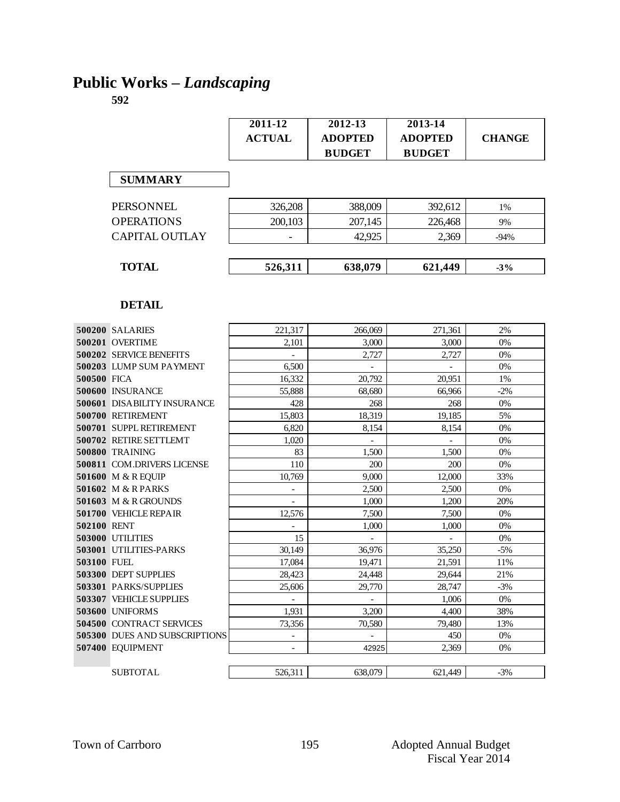# **Public Works –** *Landscaping*

|                                | $2011 - 12$<br><b>ACTUAL</b> | $2012 - 13$<br><b>ADOPTED</b><br><b>BUDGET</b> | 2013-14<br><b>ADOPTED</b><br><b>BUDGET</b> | <b>CHANGE</b> |
|--------------------------------|------------------------------|------------------------------------------------|--------------------------------------------|---------------|
| <b>SUMMARY</b>                 |                              |                                                |                                            |               |
| PERSONNEL                      | 326,208                      | 388,009                                        | 392,612                                    | 1%            |
| <b>OPERATIONS</b>              | 200,103                      | 207,145                                        | 226,468                                    | 9%            |
| <b>CAPITAL OUTLAY</b>          |                              | 42,925                                         | 2,369                                      | $-94%$        |
| <b>TOTAL</b>                   | 526,311                      | 638,079                                        | 621,449                                    | $-3%$         |
| <b>DETAIL</b>                  |                              |                                                |                                            |               |
| 500200 SALARIES                | 221,317                      | 266,069                                        | 271,361                                    | 2%            |
| 500201 OVERTIME                | 2,101                        | 3,000                                          | 3,000                                      | $0\%$         |
| 500202 SERVICE BENEFITS        |                              | 2,727                                          | 2,727                                      | $0\%$         |
| 500203 LUMP SUM PAYMENT        | 6,500                        |                                                |                                            | 0%            |
| 500500 FICA                    | 16,332                       | 20,792                                         | 20,951                                     | 1%            |
| 500600 INSURANCE               | 55,888                       | 68.680                                         | 66,966                                     | $-2%$         |
| 500601 DISABILITY INSURANCE    | 428                          | 268                                            | 268                                        | 0%            |
| 500700 RETIREMENT              | 15,803                       | 18,319                                         | 19,185                                     | 5%            |
| 500701 SUPPL RETIREMENT        | 6,820                        | 8,154                                          | 8,154                                      | 0%            |
| 500702 RETIRE SETTLEMT         | 1,020                        |                                                |                                            | 0%            |
| <b>500800 TRAINING</b>         | 83                           | 1,500                                          | 1,500                                      | 0%            |
| 500811 COM.DRIVERS LICENSE     | 110                          | 200                                            | 200                                        | 0%            |
| 501600 M & R EQUIP             | 10,769                       | 9,000                                          | 12,000                                     | 33%           |
| 501602 M & R PARKS             |                              | 2,500                                          | 2,500                                      | 0%            |
| 501603 M & R GROUNDS           |                              | 1,000                                          | 1,200                                      | 20%           |
| 501700 VEHICLE REPAIR          | 12,576                       | 7,500                                          | 7,500                                      | 0%            |
| 502100 RENT                    |                              | 1,000                                          | 1,000                                      | 0%            |
| 503000 UTILITIES               | 15                           |                                                |                                            | 0%            |
| 503001 UTILITIES-PARKS         | 30,149                       | 36,976                                         | 35,250                                     | $-5%$         |
| 503100 FUEL                    | 17,084                       | 19,471                                         | 21,591                                     | 11%           |
| 503300 DEPT SUPPLIES           | 28,423                       | 24,448                                         | 29,644                                     | 21%           |
| 503301 PARKS/SUPPLIES          | 25,606                       | 29,770                                         | 28,747                                     | $-3%$         |
| <b>503307 VEHICLE SUPPLIES</b> |                              |                                                | 1,006                                      | 0%            |
| 503600 UNIFORMS                | 1,931                        | 3,200                                          | 4,400                                      | 38%           |
| 504500 CONTRACT SERVICES       | 73,356                       | 70,580                                         | 79,480                                     | 13%           |
| 505300 DUES AND SUBSCRIPTIONS  | $\overline{\phantom{a}}$     |                                                | 450                                        | 0%            |
| 507400 EQUIPMENT               |                              | 42925                                          | 2,369                                      | 0%            |
| <b>SUBTOTAL</b>                | 526,311                      | 638,079                                        | 621,449                                    | $-3%$         |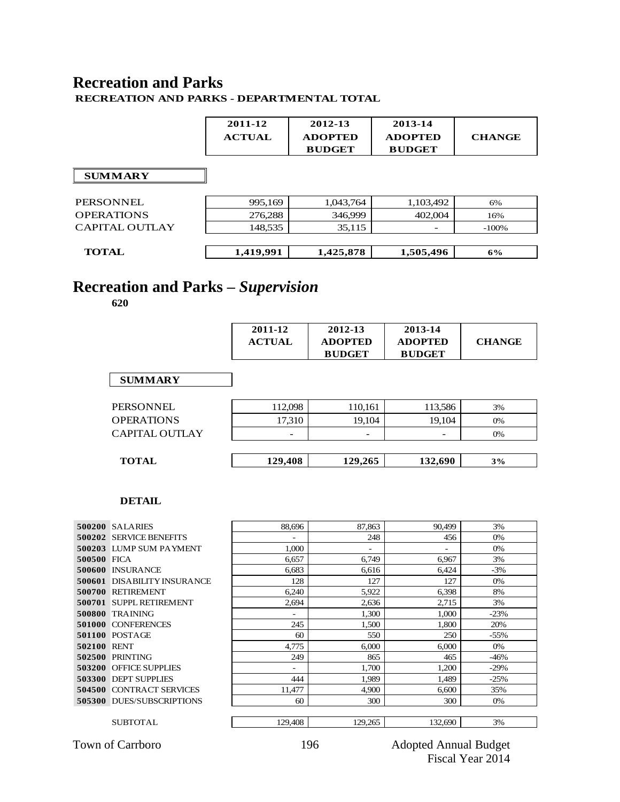### **Recreation and Parks**

**RECREATION AND PARKS - DEPARTMENTAL TOTAL**

 $\Gamma$ 

|                   | 2011-12<br><b>ACTUAL</b> | 2012-13<br><b>ADOPTED</b><br><b>BUDGET</b> | 2013-14<br><b>ADOPTED</b><br><b>BUDGET</b> | <b>CHANGE</b> |
|-------------------|--------------------------|--------------------------------------------|--------------------------------------------|---------------|
| <b>SUMMARY</b>    |                          |                                            |                                            |               |
| <b>PERSONNEL</b>  | 995,169                  | 1,043,764                                  | 1,103,492                                  | 6%            |
| <b>OPERATIONS</b> | 276,288                  | 346,999                                    | 402,004                                    | 16%           |
| CAPITAL OUTLAY    | 148,535                  | 35,115                                     | $\overline{\phantom{a}}$                   | $-100%$       |
| <b>TOTAL</b>      | 1,419,991                | 1,425,878                                  | 1,505,496                                  | 6%            |

### **Recreation and Parks –** *Supervision*

**620**

|                       | 2011-12<br><b>ACTUAL</b> | 2012-13<br><b>ADOPTED</b><br><b>BUDGET</b> | 2013-14<br><b>ADOPTED</b><br><b>BUDGET</b> | <b>CHANGE</b> |
|-----------------------|--------------------------|--------------------------------------------|--------------------------------------------|---------------|
| <b>SUMMARY</b>        |                          |                                            |                                            |               |
| <b>PERSONNEL</b>      | 112,098                  | 110,161                                    | 113,586                                    | 3%            |
| <b>OPERATIONS</b>     | 17,310                   | 19,104                                     | 19,104                                     | 0%            |
| <b>CAPITAL OUTLAY</b> |                          | $\overline{\phantom{0}}$                   | -                                          | 0%            |
|                       |                          |                                            |                                            |               |
| <b>TOTAL</b>          | 129,408                  | 129,265                                    | 132,690                                    | 3%            |

#### **DETAIL**

|             | <b>500200 SALARIES</b>             | 88.696  | 87.863  | 90.499  | 3%     |
|-------------|------------------------------------|---------|---------|---------|--------|
| 500202      | <b>SERVICE BENEFITS</b>            |         | 248     | 456     | 0%     |
| 500203      | <b>LUMP SUM PAYMENT</b>            | 1.000   | ٠       |         | 0%     |
| 500500 FICA |                                    | 6.657   | 6.749   | 6,967   | 3%     |
| 500600      | <b>INSURANCE</b>                   | 6.683   | 6.616   | 6.424   | $-3%$  |
|             | <b>500601 DISABILITY INSURANCE</b> | 128     | 127     | 127     | 0%     |
| 500700      | <b>RETIREMENT</b>                  | 6,240   | 5,922   | 6,398   | 8%     |
| 500701      | SUPPL RETIREMENT                   | 2,694   | 2,636   | 2.715   | 3%     |
| 500800      | <b>TRAINING</b>                    | ٠       | 1,300   | 1.000   | $-23%$ |
| 501000      | <b>CONFERENCES</b>                 | 245     | 1.500   | 1.800   | 20%    |
|             | <b>501100 POSTAGE</b>              | 60      | 550     | 250     | $-55%$ |
| 502100      | <b>RENT</b>                        | 4.775   | 6.000   | 6.000   | 0%     |
| 502500      | <b>PRINTING</b>                    | 249     | 865     | 465     | $-46%$ |
| 503200      | <b>OFFICE SUPPLIES</b>             | ٠       | 1.700   | 1.200   | $-29%$ |
| 503300      | <b>DEPT SUPPLIES</b>               | 444     | 1.989   | 1,489   | $-25%$ |
|             | <b>504500 CONTRACT SERVICES</b>    | 11,477  | 4,900   | 6,600   | 35%    |
|             | <b>505300 DUES/SUBSCRIPTIONS</b>   | 60      | 300     | 300     | 0%     |
|             |                                    |         |         |         |        |
|             | <b>SUBTOTAL</b>                    | 129,408 | 129,265 | 132,690 | 3%     |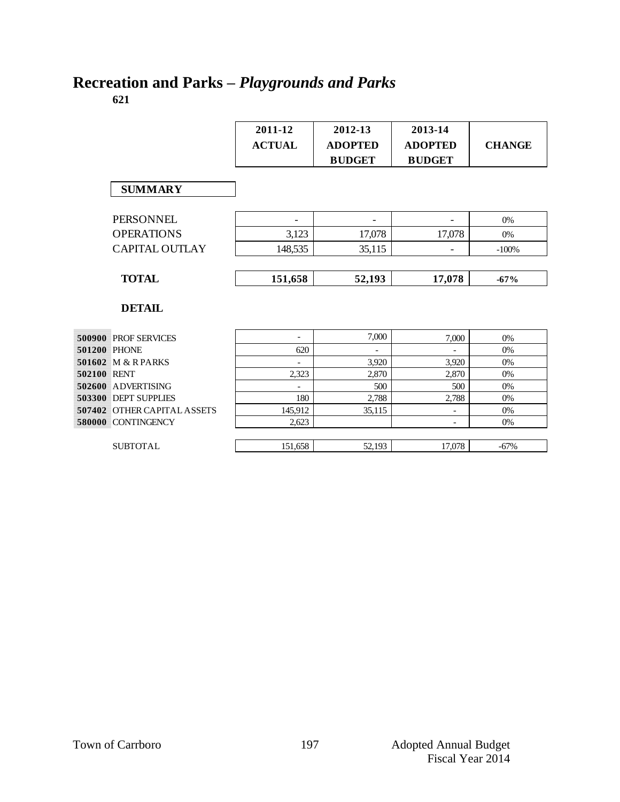# **Recreation and Parks –** *Playgrounds and Parks*

|             |                                    | 2011-12<br><b>ACTUAL</b> | 2012-13<br><b>ADOPTED</b><br><b>BUDGET</b> | 2013-14<br><b>ADOPTED</b><br><b>BUDGET</b> | <b>CHANGE</b> |
|-------------|------------------------------------|--------------------------|--------------------------------------------|--------------------------------------------|---------------|
|             | <b>SUMMARY</b>                     |                          |                                            |                                            |               |
|             | <b>PERSONNEL</b>                   |                          | $\qquad \qquad -$                          |                                            | 0%            |
|             | <b>OPERATIONS</b>                  | 3,123                    | 17,078                                     | 17,078                                     | 0%            |
|             | <b>CAPITAL OUTLAY</b>              | 148,535                  | 35,115                                     |                                            | $-100%$       |
|             |                                    |                          |                                            |                                            |               |
|             | <b>TOTAL</b>                       | 151,658                  | 52,193                                     | 17,078                                     | $-67%$        |
|             | <b>DETAIL</b>                      |                          |                                            |                                            |               |
|             | <b>500900 PROF SERVICES</b>        | $\overline{\phantom{a}}$ | 7,000                                      | 7,000                                      | 0%            |
|             | <b>501200 PHONE</b>                | 620                      |                                            |                                            | 0%            |
|             | 501602 M & R PARKS                 |                          | 3,920                                      | 3,920                                      | 0%            |
| 502100 RENT |                                    | 2,323                    | 2,870                                      | 2,870                                      | 0%            |
|             | 502600 ADVERTISING                 |                          | 500                                        | 500                                        | 0%            |
|             | 503300 DEPT SUPPLIES               | 180                      | 2.788                                      | 2.788                                      | 0%            |
|             | <b>507402 OTHER CAPITAL ASSETS</b> | 145,912                  | 35,115                                     | $\overline{\phantom{a}}$                   | 0%            |
|             | 580000 CONTINGENCY                 | 2,623                    |                                            | $\overline{\phantom{a}}$                   | 0%            |
|             | <b>SUBTOTAL</b>                    | 151,658                  | 52,193                                     | 17,078                                     | $-67%$        |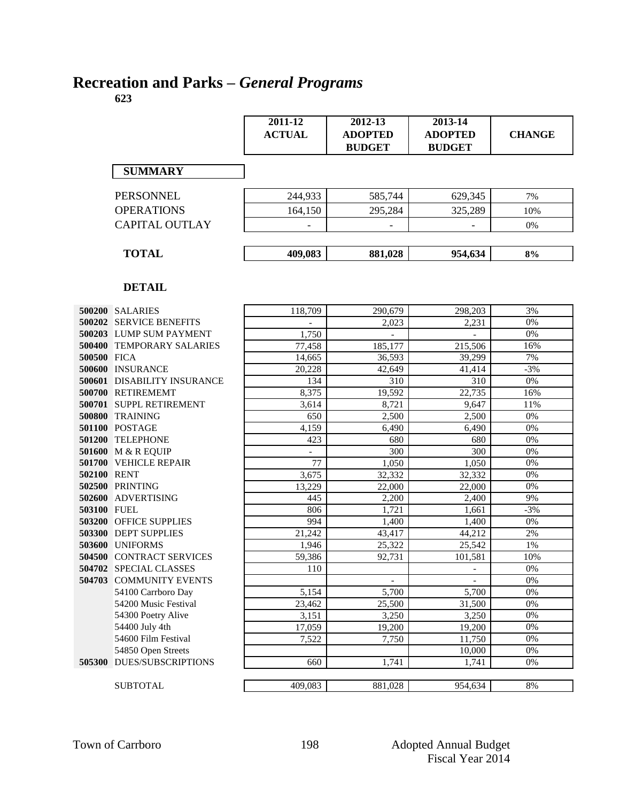# **Recreation and Parks –** *General Programs*

|               |                                    | 2011-12<br><b>ACTUAL</b> | 2012-13<br><b>ADOPTED</b><br><b>BUDGET</b> | 2013-14<br><b>ADOPTED</b><br><b>BUDGET</b> | <b>CHANGE</b> |
|---------------|------------------------------------|--------------------------|--------------------------------------------|--------------------------------------------|---------------|
|               | <b>SUMMARY</b>                     |                          |                                            |                                            |               |
|               | <b>PERSONNEL</b>                   | 244,933                  | 585,744                                    | 629,345                                    | 7%            |
|               | <b>OPERATIONS</b>                  | 164,150                  | 295,284                                    | 325,289                                    | 10%           |
|               |                                    |                          |                                            |                                            |               |
|               | <b>CAPITAL OUTLAY</b>              |                          |                                            |                                            | 0%            |
|               | <b>TOTAL</b>                       | 409,083                  | 881,028                                    | 954,634                                    | 8%            |
|               | <b>DETAIL</b>                      |                          |                                            |                                            |               |
|               | 500200 SALARIES                    | 118,709                  | 290,679                                    | 298,203                                    | 3%            |
|               | 500202 SERVICE BENEFITS            |                          | 2,023                                      | 2,231                                      | 0%            |
|               | 500203 LUMP SUM PAYMENT            | 1,750                    |                                            |                                            | 0%            |
|               | 500400 TEMPORARY SALARIES          | 77,458                   | 185,177                                    | 215,506                                    | 16%           |
| 500500 FICA   |                                    | 14,665                   | 36,593                                     | 39,299                                     | 7%            |
|               | 500600 INSURANCE                   | 20.228                   | 42,649                                     | 41,414                                     | $-3%$         |
|               | <b>500601 DISABILITY INSURANCE</b> | 134                      | 310                                        | 310                                        | 0%            |
|               | 500700 RETIREMEMT                  | 8,375                    | 19,592                                     | 22,735                                     | 16%           |
|               | 500701 SUPPL RETIREMENT            | 3,614                    | 8,721                                      | 9,647                                      | 11%           |
|               | 500800 TRAINING                    | 650                      | 2,500                                      | 2,500                                      | 0%            |
|               | 501100 POSTAGE                     | 4,159                    | 6,490                                      | 6,490                                      | 0%            |
|               | 501200 TELEPHONE                   | 423                      | 680                                        | 680                                        | 0%            |
|               | 501600 M & R EQUIP                 |                          | 300                                        | 300                                        | 0%            |
|               | 501700 VEHICLE REPAIR              | 77                       | 1,050                                      | 1.050                                      | 0%            |
|               | 502100 RENT                        | 3,675                    | 32,332                                     | 32,332                                     | 0%            |
|               | <b>502500 PRINTING</b>             | 13,229                   | 22,000                                     | 22,000                                     | 0%            |
|               | 502600 ADVERTISING                 | 445                      | 2,200                                      | 2,400                                      | 9%            |
| 503100 FUEL   |                                    | 806                      | 1,721                                      | 1,661                                      | $-3%$         |
|               | 503200 OFFICE SUPPLIES             | 994                      | 1,400                                      | 1,400                                      | 0%            |
|               | 503300 DEPT SUPPLIES               | 21,242                   | 43,417                                     | 44,212                                     | 2%            |
|               | 503600 UNIFORMS                    | 1,946                    | 25,322                                     | 25,542                                     | 1%            |
|               | 504500 CONTRACT SERVICES           | 59,386                   | 92,731                                     | 101,581                                    | 10%           |
|               | 504702 SPECIAL CLASSES             | 110                      |                                            |                                            | $0\%$         |
|               | 504703 COMMUNITY EVENTS            |                          | $\overline{\phantom{0}}$                   |                                            | 0%            |
|               | 54100 Carrboro Day                 | 5,154                    | 5,700                                      | 5,700                                      | 0%            |
|               | 54200 Music Festival               | 23,462                   | 25,500                                     | 31,500                                     | $0\%$         |
|               | 54300 Poetry Alive                 | 3,151                    | 3,250                                      | 3,250                                      | 0%            |
|               | 54400 July 4th                     | 17,059                   | 19,200                                     | 19,200                                     | 0%            |
|               | 54600 Film Festival                | 7,522                    | 7,750                                      | 11,750                                     | 0%            |
|               | 54850 Open Streets                 |                          |                                            | 10,000                                     | 0%            |
| <b>505300</b> | <b>DUES/SUBSCRIPTIONS</b>          | 660                      | 1,741                                      | 1,741                                      | 0%            |
|               | <b>SUBTOTAL</b>                    | 409,083                  | 881,028                                    | 954,634                                    | $8\%$         |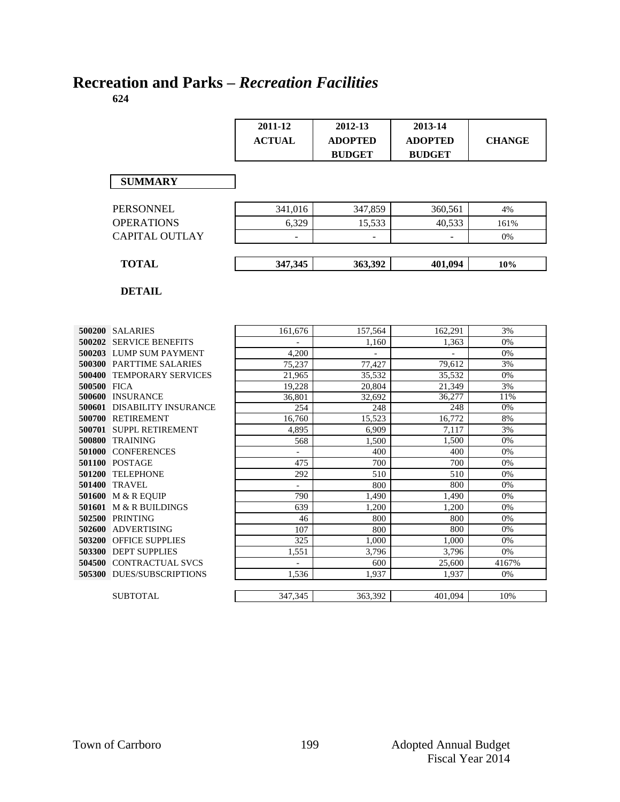# **Recreation and Parks –** *Recreation Facilities*

|                                            | 2011-12<br><b>ACTUAL</b> | 2012-13<br><b>ADOPTED</b><br><b>BUDGET</b> | 2013-14<br><b>ADOPTED</b><br><b>BUDGET</b> | <b>CHANGE</b> |
|--------------------------------------------|--------------------------|--------------------------------------------|--------------------------------------------|---------------|
| <b>SUMMARY</b>                             |                          |                                            |                                            |               |
| <b>PERSONNEL</b>                           | 341.016                  | 347,859                                    | 360.561                                    | 4%            |
| <b>OPERATIONS</b>                          | 6,329                    | 15,533                                     | 40,533                                     | 161%          |
| <b>CAPITAL OUTLAY</b>                      | L                        | ÷.                                         |                                            | 0%            |
| <b>TOTAL</b>                               | 347,345                  | 363,392                                    | 401,094                                    | 10%           |
| <b>DETAIL</b>                              |                          |                                            |                                            |               |
| <b>500200 SALARIES</b>                     | 161,676                  | 157,564                                    | 162,291                                    | 3%            |
| 500202 SERVICE BENEFITS                    |                          | 1,160                                      | 1,363                                      | 0%            |
| 500203 LUMP SUM PAYMENT                    | 4,200                    |                                            | $\overline{\phantom{a}}$                   | 0%            |
| 500300 PARTTIME SALARIES                   | 75,237                   | 77,427                                     | 79,612                                     | 3%            |
| 500400 TEMPORARY SERVICES                  | 21,965                   | 35,532                                     | 35,532                                     | 0%            |
| 500500 FICA                                | 19,228                   | 20,804                                     | 21,349                                     | 3%            |
| 500600 INSURANCE                           | 36,801                   | 32,692                                     | 36,277                                     | 11%           |
| <b>500601 DISABILITY INSURANCE</b>         | 254                      | 248                                        | 248                                        | 0%            |
| 500700 RETIREMENT                          | 16,760                   | 15,523                                     | 16,772                                     | $8\%$         |
| 500701 SUPPL RETIREMENT                    | 4.895                    | 6,909                                      | 7,117                                      | 3%            |
| 500800 TRAINING                            | 568                      | 1,500                                      | 1,500                                      | 0%            |
| 501000 CONFERENCES                         | $\sim$                   | 400                                        | 400                                        | 0%            |
| 501100 POSTAGE                             | 475                      | 700                                        | 700                                        | 0%            |
| 501200 TELEPHONE                           | 292<br>$\overline{a}$    | 510                                        | 510<br>800                                 | 0%<br>0%      |
| <b>501400 TRAVEL</b><br>501600 M & R EQUIP | 790                      | 800<br>1,490                               | 1,490                                      | 0%            |
| 501601 M & R BUILDINGS                     | 639                      | 1,200                                      | 1,200                                      | 0%            |
| 502500 PRINTING                            | 46                       | 800                                        | 800                                        | 0%            |
| 502600 ADVERTISING                         | 107                      | 800                                        | 800                                        | 0%            |
| 503200 OFFICE SUPPLIES                     | $\overline{325}$         | 1,000                                      | 1,000                                      | 0%            |
| 503300 DEPT SUPPLIES                       | 1,551                    | 3,796                                      | 3,796                                      | 0%            |
| 504500 CONTRACTUAL SVCS                    | $\overline{\phantom{a}}$ | 600                                        | 25,600                                     | 4167%         |
| 505300 DUES/SUBSCRIPTIONS                  | 1,536                    | 1,937                                      | 1,937                                      | 0%            |
| <b>SUBTOTAL</b>                            | 347,345                  | 363,392                                    | 401,094                                    | 10%           |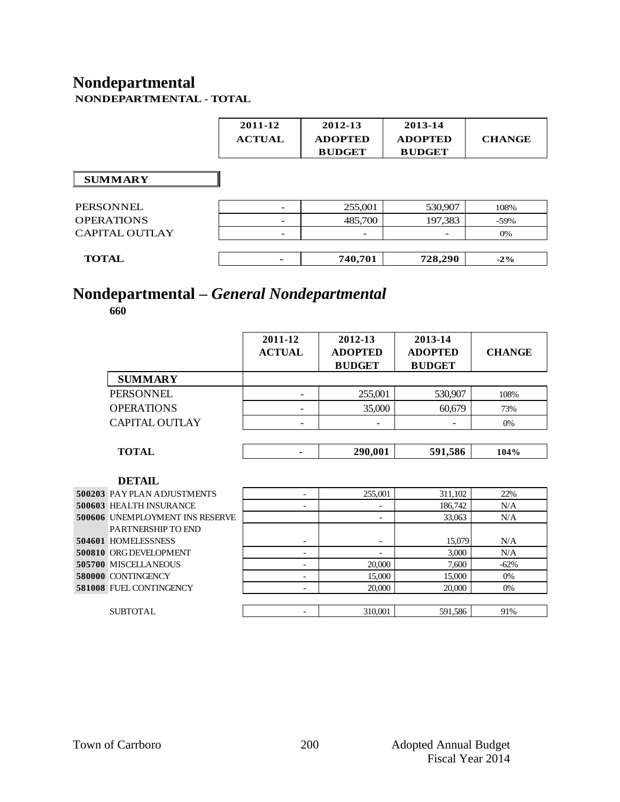# **Nondepartmental**

| NONDEPARTMENTAL - TOTAL |
|-------------------------|
|-------------------------|

|                   | 2011-12<br><b>ACTUAL</b> | 2012-13<br><b>ADOPTED</b><br><b>BUDGET</b> | 2013-14<br><b>ADOPTED</b><br><b>BUDGET</b> | <b>CHANGE</b> |
|-------------------|--------------------------|--------------------------------------------|--------------------------------------------|---------------|
| <b>SUMMARY</b>    |                          |                                            |                                            |               |
| PERSONNEL         |                          | 255,001                                    | 530,907                                    | 108%          |
| <b>OPERATIONS</b> |                          | 485,700                                    | 197,383                                    | $-59\%$       |

| CAPITAL OUTLAY |                          |         |         | 0%     |
|----------------|--------------------------|---------|---------|--------|
| <b>TOTAL</b>   | $\overline{\phantom{a}}$ | 740,701 | 728,290 | $-2\%$ |

# **Nondepartmental –** *General Nondepartmental*

|                                   | 2011-12<br><b>ACTUAL</b> | 2012-13<br><b>ADOPTED</b> | 2013-14<br><b>ADOPTED</b> | <b>CHANGE</b> |
|-----------------------------------|--------------------------|---------------------------|---------------------------|---------------|
|                                   |                          | <b>BUDGET</b>             | <b>BUDGET</b>             |               |
| <b>SUMMARY</b>                    |                          |                           |                           |               |
| <b>PERSONNEL</b>                  |                          | 255,001                   | 530,907                   | 108%          |
| <b>OPERATIONS</b>                 |                          | 35,000                    | 60,679                    | 73%           |
| <b>CAPITAL OUTLAY</b>             |                          |                           |                           | 0%            |
|                                   |                          |                           |                           |               |
| <b>TOTAL</b>                      |                          | 290,001                   | 591,586                   | 104%          |
| <b>DETAIL</b>                     |                          |                           |                           |               |
| <b>500203 PAYPLAN ADJUSTMENTS</b> | $\overline{\phantom{a}}$ | 255,001                   | 311,102                   | 22%           |
| <b>500603 HEALTH INSURANCE</b>    | -                        | $\overline{\phantom{0}}$  | 186,742                   | N/A           |
| 500606 UNEMPLOYMENT INS RESERVE   |                          | $\overline{\phantom{0}}$  | 33,063                    | N/A           |
| PARTNERSHIP TO END                |                          |                           |                           |               |
| 504601 HOMELESSNESS               | $\overline{\phantom{a}}$ | $\overline{\phantom{a}}$  | 15,079                    | N/A           |
| <b>500810 ORG DEVELOPMENT</b>     | ۰                        | ۳                         | 3,000                     | N/A           |
| <b>505700 MISCELLANEOUS</b>       | $\overline{\phantom{a}}$ | 20,000                    | 7,600                     | $-62%$        |
| 580000 CONTINGENCY                | $\overline{\phantom{a}}$ | 15,000                    | 15,000                    | 0%            |
| <b>581008 FUEL CONTINGENCY</b>    | $\overline{\phantom{a}}$ | 20,000                    | 20,000                    | 0%            |
|                                   |                          |                           |                           |               |
| SUBTOTAL                          | -                        | 310,001                   | 591,586                   | 91%           |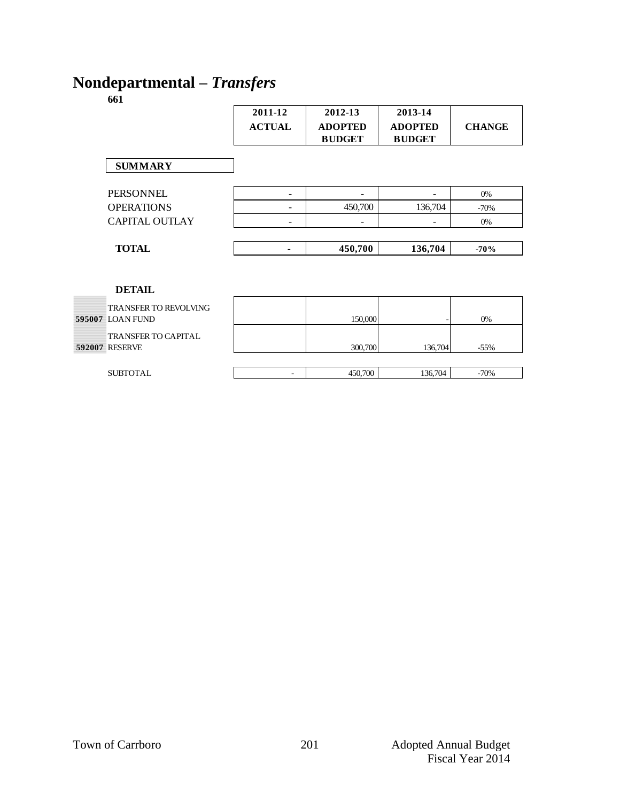### **Nondepartmental –** *Transfers*

|                       | 2011-12       | 2012-13                         | 2013-14                         |               |
|-----------------------|---------------|---------------------------------|---------------------------------|---------------|
|                       | <b>ACTUAL</b> | <b>ADOPTED</b><br><b>BUDGET</b> | <b>ADOPTED</b><br><b>BUDGET</b> | <b>CHANGE</b> |
| <b>SUMMARY</b>        |               |                                 |                                 |               |
| PERSONNEL             | Ξ.            |                                 |                                 | 0%            |
| <b>OPERATIONS</b>     | Ξ.            | 450,700                         | 136,704                         | $-70%$        |
| CAPITAL OUTLAY        |               |                                 |                                 | 0%            |
|                       |               |                                 |                                 |               |
| <b>TOTAL</b>          |               | 450,700                         | 136,704                         | $-70%$        |
|                       |               |                                 |                                 |               |
|                       |               |                                 |                                 |               |
| <b>DETAIL</b>         |               |                                 |                                 |               |
| TRANSFER TO REVOLVING |               |                                 |                                 |               |
| 595007 LOAN FUND      |               | 150,000                         |                                 | 0%            |
| TRANSFER TO CAPITAL   |               |                                 |                                 |               |
| <b>592007 RESERVE</b> |               | 300,700                         | 136,704                         | $-55%$        |
|                       |               |                                 |                                 |               |
| <b>SUBTOTAL</b>       |               | 450,700                         | 136,704                         | $-70%$        |